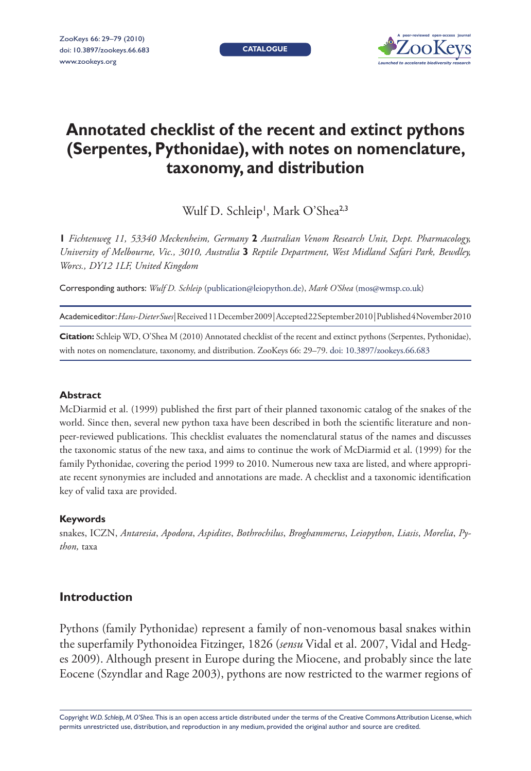**CATALOGUE**



# **Annotated checklist of the recent and extinct pythons (Serpentes, Pythonidae), with notes on nomenclature, taxonomy, and distribution**

Wulf D. Schleip<sup>1</sup>, Mark O'Shea<sup>2,3</sup>

 **1** *Fichtenweg 11, 53340 Meckenheim, Germany* **2** *Australian Venom Research Unit, Dept. Pharmacology, University of Melbourne, Vic., 3010, Australia* **3** *Reptile Department, West Midland Safari Park, Bewdley, Worcs., DY12 1LF, United Kingdom*

Corresponding authors: *Wulf D. Schleip* (publication@leiopython.de), *Mark O'Shea* (mos@wmsp.co.uk)

Academic editor:*Hans-Dieter Sues* | Received 11 December 2009 | Accepted 22 September 2010 | Published 4 November 2010

**Citation:** Schleip WD, O'Shea M (2010) Annotated checklist of the recent and extinct pythons (Serpentes, Pythonidae), with notes on nomenclature, taxonomy, and distribution. ZooKeys 66: 29-79. doi: 10.3897/zookeys.66.683

### **Abstract**

McDiarmid et al. (1999) published the first part of their planned taxonomic catalog of the snakes of the world. Since then, several new python taxa have been described in both the scientific literature and nonpeer-reviewed publications. This checklist evaluates the nomenclatural status of the names and discusses the taxonomic status of the new taxa, and aims to continue the work of McDiarmid et al. (1999) for the family Pythonidae, covering the period 1999 to 2010. Numerous new taxa are listed, and where appropriate recent synonymies are included and annotations are made. A checklist and a taxonomic identification key of valid taxa are provided.

### **Keywords**

snakes, ICZN, *Antaresia*, *Apodora*, *Aspidites*, *Bothrochilus*, *Broghammerus*, *Leiopython*, *Liasis*, *Morelia*, *Python,* taxa

# **Introduction**

 Pythons (family Pythonidae) represent a family of non-venomous basal snakes within the superfamily Pythonoidea Fitzinger, 1826 (*sensu* Vidal et al. 2007, Vidal and Hedges 2009). Although present in Europe during the Miocene, and probably since the late Eocene (Szyndlar and Rage 2003), pythons are now restricted to the warmer regions of

Copyright *W.D. Schleip, M. O'Shea.* This is an open access article distributed under the terms of th[e Creative Commons Attribution License, w](http://creativecommons.org/licenses/by/3.0/)hich permits unrestricted use, distribution, and reproduction in any medium, provided the original author and source are credited.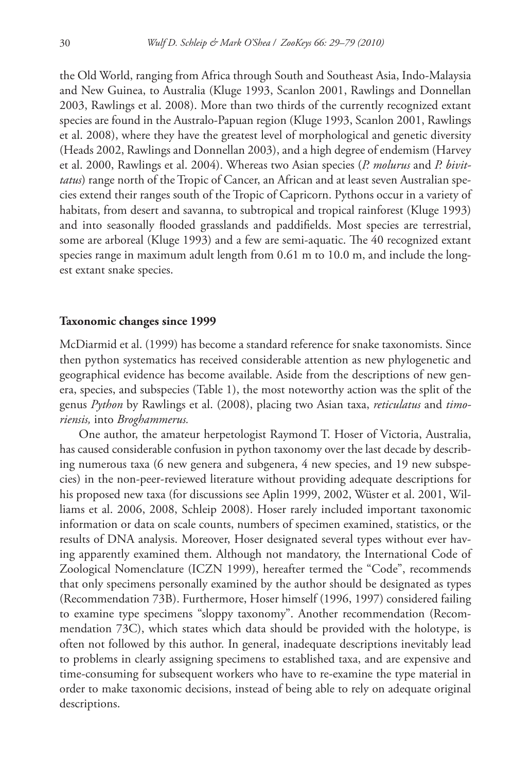the Old World, ranging from Africa through South and Southeast Asia, Indo-Malaysia and New Guinea, to Australia (Kluge 1993, Scanlon 2001, Rawlings and Donnellan 2003, Rawlings et al. 2008). More than two thirds of the currently recognized extant species are found in the Australo-Papuan region (Kluge 1993, Scanlon 2001, Rawlings et al. 2008), where they have the greatest level of morphological and genetic diversity (Heads 2002, Rawlings and Donnellan 2003), and a high degree of endemism (Harvey et al. 2000, Rawlings et al. 2004). Whereas two Asian species (*P. molurus* and *P. bivittatus*) range north of the Tropic of Cancer, an African and at least seven Australian species extend their ranges south of the Tropic of Capricorn. Pythons occur in a variety of habitats, from desert and savanna, to subtropical and tropical rainforest (Kluge 1993) and into seasonally flooded grasslands and paddifields. Most species are terrestrial, some are arboreal (Kluge 1993) and a few are semi-aquatic. The 40 recognized extant species range in maximum adult length from 0.61 m to 10.0 m, and include the longest extant snake species.

#### **Taxonomic changes since 1999**

 McDiarmid et al. (1999) has become a standard reference for snake taxonomists. Since then python systematics has received considerable attention as new phylogenetic and geographical evidence has become available. Aside from the descriptions of new genera, species, and subspecies (Table 1), the most noteworthy action was the split of the genus *Python* by Rawlings et al. (2008), placing two Asian taxa, *reticulatus* and *timoriensis,* into *Broghammerus.*

 One author, the amateur herpetologist Raymond T. Hoser of Victoria, Australia, has caused considerable confusion in python taxonomy over the last decade by describing numerous taxa (6 new genera and subgenera, 4 new species, and 19 new subspecies) in the non-peer-reviewed literature without providing adequate descriptions for his proposed new taxa (for discussions see Aplin 1999, 2002, Wüster et al. 2001, Williams et al. 2006, 2008, Schleip 2008). Hoser rarely included important taxonomic information or data on scale counts, numbers of specimen examined, statistics, or the results of DNA analysis. Moreover, Hoser designated several types without ever having apparently examined them. Although not mandatory, the International Code of Zoological Nomenclature (ICZN 1999), hereafter termed the "Code", recommends that only specimens personally examined by the author should be designated as types (Recommendation 73B). Furthermore, Hoser himself (1996, 1997) considered failing to examine type specimens "sloppy taxonomy". Another recommendation (Recommendation 73C), which states which data should be provided with the holotype, is often not followed by this author. In general, inadequate descriptions inevitably lead to problems in clearly assigning specimens to established taxa, and are expensive and time-consuming for subsequent workers who have to re-examine the type material in order to make taxonomic decisions, instead of being able to rely on adequate original descriptions.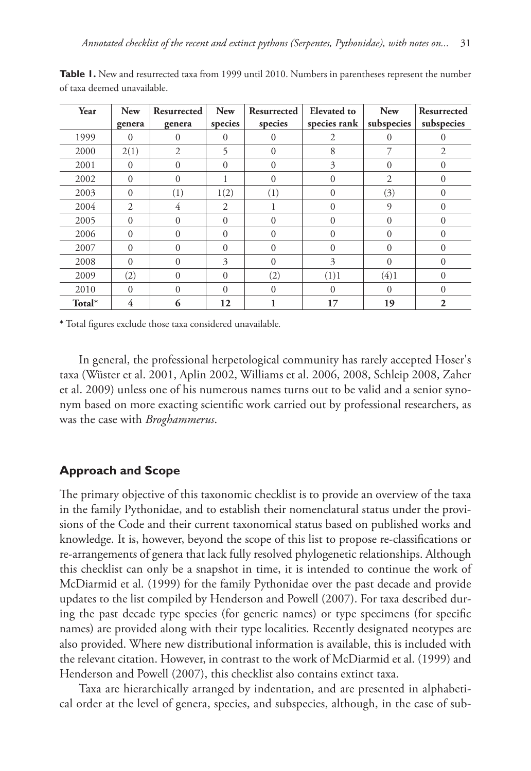| Year   | <b>New</b>     | Resurrected    | <b>New</b>     | Resurrected | <b>Elevated</b> to | <b>New</b>   | Resurrected    |
|--------|----------------|----------------|----------------|-------------|--------------------|--------------|----------------|
|        | genera         | genera         | species        | species     | species rank       | subspecies   | subspecies     |
| 1999   | 0              | $\Omega$       | $\Omega$       | 0           | 2                  | $\Omega$     | 0              |
| 2000   | 2(1)           | $\overline{2}$ | 5              | $\Omega$    | 8                  | 7            | $\overline{2}$ |
| 2001   | $\Omega$       | $\Omega$       | $\Omega$       | $\Omega$    | 3                  | $\Omega$     | $\Omega$       |
| 2002   | $\Omega$       | $\Omega$       |                | $\Omega$    | $\Omega$           | 2            | $\Omega$       |
| 2003   | $\Omega$       | (1)            | 1(2)           | (1)         | $\Omega$           | (3)          | $\Omega$       |
| 2004   | $\overline{c}$ | 4              | $\overline{2}$ |             | $\Omega$           | 9            | $\Omega$       |
| 2005   | $\Omega$       | $\Omega$       | $\Omega$       | 0           | $\Omega$           | $\Omega$     | $\Omega$       |
| 2006   | $\Omega$       | $\Omega$       | $\Omega$       | 0           | $\Omega$           | $\Omega$     | $\Omega$       |
| 2007   | $\Omega$       | $\Omega$       | $\Omega$       | $\Omega$    | $\Omega$           | $\theta$     | $\Omega$       |
| 2008   | $\Omega$       | $\Omega$       | 3              | $\theta$    | 3                  | $\theta$     | $\theta$       |
| 2009   | (2)            | $\Omega$       | $\theta$       | (2)         | (1)1               | (4)1         | $\theta$       |
| 2010   | $\Omega$       | $\Omega$       | $\Omega$       | $\theta$    | $\Omega$           | $\mathbf{0}$ | $\Omega$       |
| Total* | 4              | 6              | 12             |             | 17                 | 19           | $\mathbf{2}$   |

Table 1. New and resurrected taxa from 1999 until 2010. Numbers in parentheses represent the number of taxa deemed unavailable.

\* Total figures exclude those taxa considered unavailable.

In general, the professional herpetological community has rarely accepted Hoser's taxa (Wüster et al. 2001, Aplin 2002, Williams et al. 2006, 2008, Schleip 2008, Zaher et al. 2009) unless one of his numerous names turns out to be valid and a senior synonym based on more exacting scientific work carried out by professional researchers, as was the case with *Broghammerus*.

# **Approach and Scope**

The primary objective of this taxonomic checklist is to provide an overview of the taxa in the family Pythonidae, and to establish their nomenclatural status under the provisions of the Code and their current taxonomical status based on published works and knowledge. It is, however, beyond the scope of this list to propose re-classifications or re-arrangements of genera that lack fully resolved phylogenetic relationships. Although this checklist can only be a snapshot in time, it is intended to continue the work of McDiarmid et al. (1999) for the family Pythonidae over the past decade and provide updates to the list compiled by Henderson and Powell (2007). For taxa described during the past decade type species (for generic names) or type specimens (for specific names) are provided along with their type localities. Recently designated neotypes are also provided. Where new distributional information is available, this is included with the relevant citation. However, in contrast to the work of McDiarmid et al. (1999) and Henderson and Powell (2007), this checklist also contains extinct taxa.

 Taxa are hierarchically arranged by indentation, and are presented in alphabetical order at the level of genera, species, and subspecies, although, in the case of sub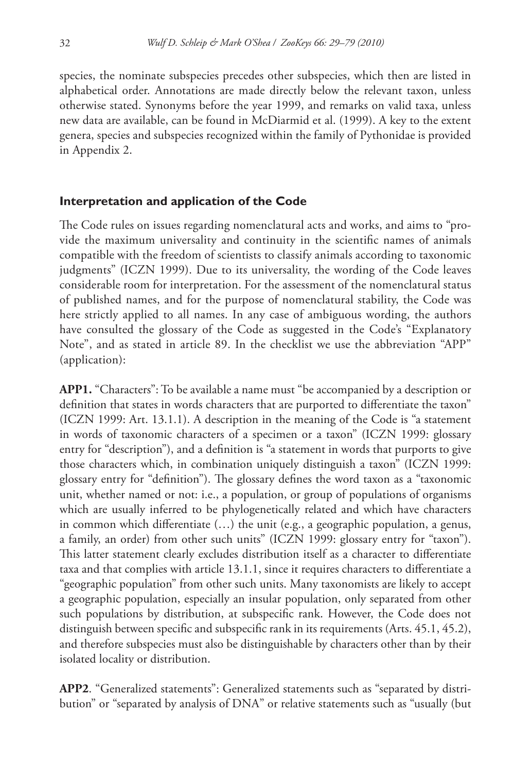species, the nominate subspecies precedes other subspecies, which then are listed in alphabetical order. Annotations are made directly below the relevant taxon, unless otherwise stated. Synonyms before the year 1999, and remarks on valid taxa, unless new data are available, can be found in McDiarmid et al. (1999). A key to the extent genera, species and subspecies recognized within the family of Pythonidae is provided in Appendix 2.

# **Interpretation and application of the Code**

The Code rules on issues regarding nomenclatural acts and works, and aims to "provide the maximum universality and continuity in the scientific names of animals compatible with the freedom of scientists to classify animals according to taxonomic judgments" (ICZN 1999). Due to its universality, the wording of the Code leaves considerable room for interpretation. For the assessment of the nomenclatural status of published names, and for the purpose of nomenclatural stability, the Code was here strictly applied to all names. In any case of ambiguous wording, the authors have consulted the glossary of the Code as suggested in the Code's "Explanatory Note", and as stated in article 89. In the checklist we use the abbreviation "APP" (application):

**APP1.** "Characters": To be available a name must "be accompanied by a description or definition that states in words characters that are purported to differentiate the taxon" (ICZN 1999: Art. 13.1.1). A description in the meaning of the Code is "a statement in words of taxonomic characters of a specimen or a taxon" (ICZN 1999: glossary entry for "description"), and a definition is "a statement in words that purports to give those characters which, in combination uniquely distinguish a taxon" (ICZN 1999: glossary entry for "definition"). The glossary defines the word taxon as a "taxonomic unit, whether named or not: i.e., a population, or group of populations of organisms which are usually inferred to be phylogenetically related and which have characters in common which differentiate (...) the unit (e.g., a geographic population, a genus, a family, an order) from other such units" (ICZN 1999: glossary entry for "taxon"). This latter statement clearly excludes distribution itself as a character to differentiate taxa and that complies with article 13.1.1, since it requires characters to differentiate a "geographic population" from other such units. Many taxonomists are likely to accept a geographic population, especially an insular population, only separated from other such populations by distribution, at subspecific rank. However, the Code does not distinguish between specific and subspecific rank in its requirements (Arts.  $45.1$ ,  $45.2$ ), and therefore subspecies must also be distinguishable by characters other than by their isolated locality or distribution.

**APP2**. "Generalized statements": Generalized statements such as "separated by distribution" or "separated by analysis of DNA" or relative statements such as "usually (but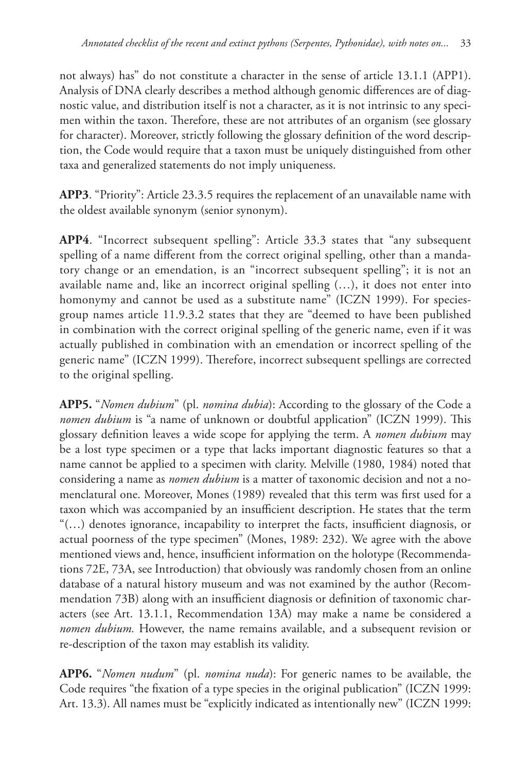not always) has" do not constitute a character in the sense of article 13.1.1 (APP1). Analysis of DNA clearly describes a method although genomic differences are of diagnostic value, and distribution itself is not a character, as it is not intrinsic to any specimen within the taxon. Therefore, these are not attributes of an organism (see glossary for character). Moreover, strictly following the glossary definition of the word description, the Code would require that a taxon must be uniquely distinguished from other taxa and generalized statements do not imply uniqueness.

**APP3**. "Priority": Article 23.3.5 requires the replacement of an unavailable name with the oldest available synonym (senior synonym).

**APP4**. "Incorrect subsequent spelling": Article 33.3 states that "any subsequent spelling of a name different from the correct original spelling, other than a mandatory change or an emendation, is an "incorrect subsequent spelling"; it is not an available name and, like an incorrect original spelling (…), it does not enter into homonymy and cannot be used as a substitute name" (ICZN 1999). For speciesgroup names article 11.9.3.2 states that they are "deemed to have been published in combination with the correct original spelling of the generic name, even if it was actually published in combination with an emendation or incorrect spelling of the generic name" (ICZN 1999). Therefore, incorrect subsequent spellings are corrected to the original spelling.

**APP5.** "*Nomen dubium*" (pl. *nomina dubia*): According to the glossary of the Code a *nomen dubium* is "a name of unknown or doubtful application" (ICZN 1999). This glossary definition leaves a wide scope for applying the term. A *nomen dubium* may be a lost type specimen or a type that lacks important diagnostic features so that a name cannot be applied to a specimen with clarity. Melville (1980, 1984) noted that considering a name as *nomen dubium* is a matter of taxonomic decision and not a nomenclatural one. Moreover, Mones (1989) revealed that this term was first used for a taxon which was accompanied by an insufficient description. He states that the term " $(...)$  denotes ignorance, incapability to interpret the facts, insufficient diagnosis, or actual poorness of the type specimen" (Mones, 1989: 232). We agree with the above mentioned views and, hence, insufficient information on the holotype (Recommendations 72E, 73A, see Introduction) that obviously was randomly chosen from an online database of a natural history museum and was not examined by the author (Recommendation 73B) along with an insufficient diagnosis or definition of taxonomic characters (see Art. 13.1.1, Recommendation 13A) may make a name be considered a *nomen dubium.* However, the name remains available, and a subsequent revision or re-description of the taxon may establish its validity.

**APP6.** "*Nomen nudum*" (pl. *nomina nuda*): For generic names to be available, the Code requires "the fixation of a type species in the original publication" (ICZN 1999: Art. 13.3). All names must be "explicitly indicated as intentionally new" (ICZN 1999: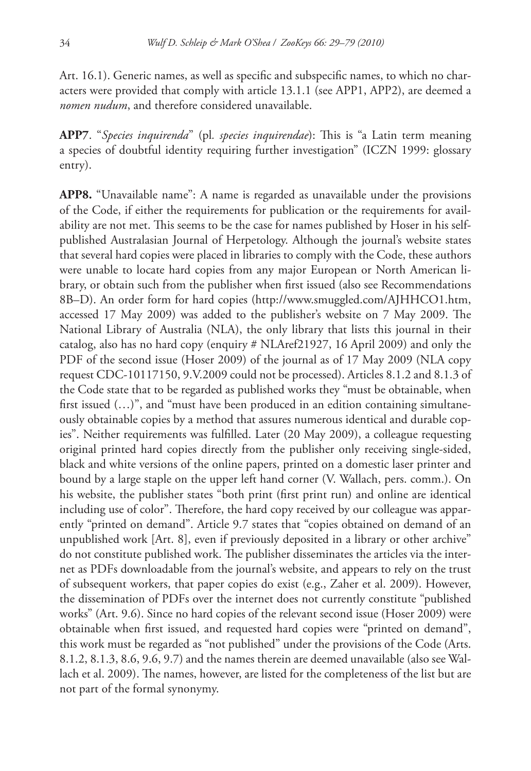Art. 16.1). Generic names, as well as specific and subspecific names, to which no characters were provided that comply with article 13.1.1 (see APP1, APP2), are deemed a *nomen nudum*, and therefore considered unavailable.

**APP7**. "*Species inquirenda*" (pl. *species inquirendae*): This is "a Latin term meaning a species of doubtful identity requiring further investigation" (ICZN 1999: glossary entry).

**APP8.** "Unavailable name": A name is regarded as unavailable under the provisions of the Code, if either the requirements for publication or the requirements for availability are not met. This seems to be the case for names published by Hoser in his selfpublished Australasian Journal of Herpetology. Although the journal's website states that several hard copies were placed in libraries to comply with the Code, these authors were unable to locate hard copies from any major European or North American library, or obtain such from the publisher when first issued (also see Recommendations 8B–D). An order form for hard copies [\(http://www.smuggled.com/AJHHCO1.htm,](http://www.smuggled.com/AJHHCO1.htm) accessed 17 May 2009) was added to the publisher's website on 7 May 2009. The National Library of Australia (NLA), the only library that lists this journal in their catalog, also has no hard copy (enquiry # NLAref21927, 16 April 2009) and only the PDF of the second issue (Hoser 2009) of the journal as of 17 May 2009 (NLA copy request CDC-10117150, 9.V.2009 could not be processed). Articles 8.1.2 and 8.1.3 of the Code state that to be regarded as published works they "must be obtainable, when first issued  $(...)$ ", and "must have been produced in an edition containing simultaneously obtainable copies by a method that assures numerous identical and durable copies". Neither requirements was fulfilled. Later (20 May 2009), a colleague requesting original printed hard copies directly from the publisher only receiving single-sided, black and white versions of the online papers, printed on a domestic laser printer and bound by a large staple on the upper left hand corner (V. Wallach, pers. comm.). On his website, the publisher states "both print (first print run) and online are identical including use of color". Therefore, the hard copy received by our colleague was apparently "printed on demand". Article 9.7 states that "copies obtained on demand of an unpublished work [Art. 8], even if previously deposited in a library or other archive" do not constitute published work. The publisher disseminates the articles via the internet as PDFs downloadable from the journal's website, and appears to rely on the trust of subsequent workers, that paper copies do exist (e.g., Zaher et al. 2009). However, the dissemination of PDFs over the internet does not currently constitute "published works" (Art. 9.6). Since no hard copies of the relevant second issue (Hoser 2009) were obtainable when first issued, and requested hard copies were "printed on demand", this work must be regarded as "not published" under the provisions of the Code (Arts. 8.1.2, 8.1.3, 8.6, 9.6, 9.7) and the names therein are deemed unavailable (also see Wallach et al. 2009). The names, however, are listed for the completeness of the list but are not part of the formal synonymy.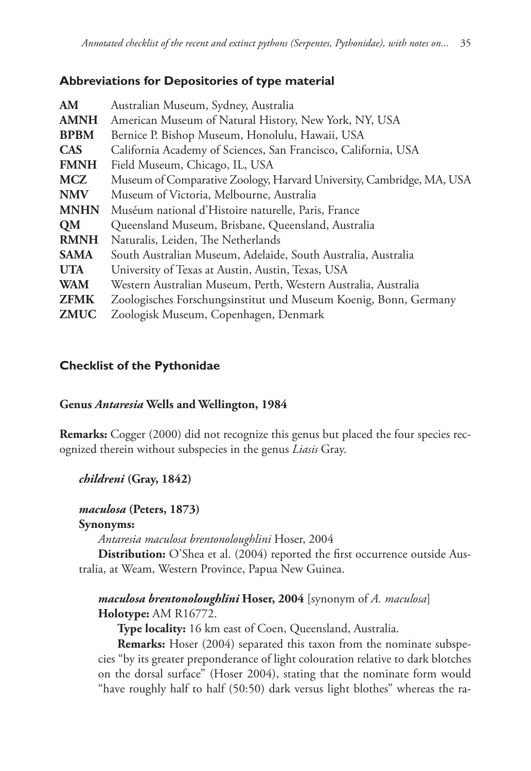# **Abbreviations for Depositories of type material**

| AM          | Australian Museum, Sydney, Australia                                  |
|-------------|-----------------------------------------------------------------------|
| <b>AMNH</b> | American Museum of Natural History, New York, NY, USA                 |
| <b>BPBM</b> | Bernice P. Bishop Museum, Honolulu, Hawaii, USA                       |
| <b>CAS</b>  | California Academy of Sciences, San Francisco, California, USA        |
| <b>FMNH</b> | Field Museum, Chicago, IL, USA                                        |
| <b>MCZ</b>  | Museum of Comparative Zoology, Harvard University, Cambridge, MA, USA |
| <b>NMV</b>  | Museum of Victoria, Melbourne, Australia                              |
| <b>MNHN</b> | Muséum national d'Histoire naturelle, Paris, France                   |
| QM          | Queensland Museum, Brisbane, Queensland, Australia                    |
| <b>RMNH</b> | Naturalis, Leiden, The Netherlands                                    |
| <b>SAMA</b> | South Australian Museum, Adelaide, South Australia, Australia         |
| <b>UTA</b>  | University of Texas at Austin, Austin, Texas, USA                     |
| <b>WAM</b>  | Western Australian Museum, Perth, Western Australia, Australia        |
| <b>ZFMK</b> | Zoologisches Forschungsinstitut und Museum Koenig, Bonn, Germany      |
| <b>ZMUC</b> | Zoologisk Museum, Copenhagen, Denmark                                 |
|             |                                                                       |

# **Checklist of the Pythonidae**

# **Genus** *Antaresia* **Wells and Wellington, 1984**

**Remarks:** Cogger (2000) did not recognize this genus but placed the four species recognized therein without subspecies in the genus *Liasis* Gray.

# *childreni* **(Gray, 1842)**

# *maculosa* **(Peters, 1873)**

# **Synonyms:**

 *Antaresia maculosa brentonoloughlini* Hoser, 2004

**Distribution:** O'Shea et al. (2004) reported the first occurrence outside Australia, at Weam, Western Province, Papua New Guinea.

# *maculosa brentonoloughlini* **Hoser, 2004** [synonym of *A. maculosa*]  **Holotype:** AM R16772.

 **Type locality:** 16 km east of Coen, Queensland, Australia.

 **Remarks:** Hoser (2004) separated this taxon from the nominate subspecies "by its greater preponderance of light colouration relative to dark blotches on the dorsal surface" (Hoser 2004), stating that the nominate form would "have roughly half to half (50:50) dark versus light blothes" whereas the ra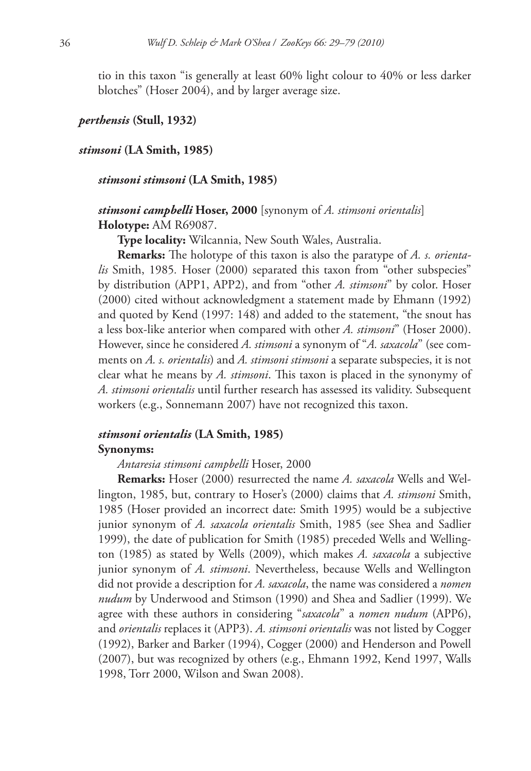tio in this taxon "is generally at least 60% light colour to 40% or less darker blotches" (Hoser 2004), and by larger average size.

#### *perthensis* **(Stull, 1932)**

#### *stimsoni* **(LA Smith, 1985)**

#### *stimsoni stimsoni* **(LA Smith, 1985)**

# *stimsoni campbelli* **Hoser, 2000** [synonym of *A. stimsoni orientalis*]  **Holotype:** AM R69087.

 **Type locality:** Wilcannia, New South Wales, Australia.

**Remarks:** The holotype of this taxon is also the paratype of *A. s. orientalis* Smith, 1985*.* Hoser (2000) separated this taxon from "other subspecies" by distribution (APP1, APP2), and from "other *A. stimsoni*" by color. Hoser (2000) cited without acknowledgment a statement made by Ehmann (1992) and quoted by Kend (1997: 148) and added to the statement, "the snout has a less box-like anterior when compared with other *A. stimsoni*" (Hoser 2000). However, since he considered *A. stimsoni* a synonym of "*A. saxacola*" (see comments on *A. s. orientalis*) and *A. stimsoni stimsoni* a separate subspecies, it is not clear what he means by *A. stimsoni*. This taxon is placed in the synonymy of *A. stimsoni orientalis* until further research has assessed its validity. Subsequent workers (e.g., Sonnemann 2007) have not recognized this taxon.

# *stimsoni orientalis* **(LA Smith, 1985)**

#### **Synonyms:**

### *Antaresia stimsoni campbelli* Hoser, 2000

 **Remarks:** Hoser (2000) resurrected the name *A. saxacola* Wells and Wellington, 1985, but, contrary to Hoser's (2000) claims that *A. stimsoni* Smith, 1985 (Hoser provided an incorrect date: Smith 1995) would be a subjective junior synonym of *A. saxacola orientalis* Smith, 1985 (see Shea and Sadlier 1999), the date of publication for Smith (1985) preceded Wells and Wellington (1985) as stated by Wells (2009), which makes *A. saxacola* a subjective junior synonym of *A. stimsoni*. Nevertheless, because Wells and Wellington did not provide a description for *A. saxacola*, the name was considered a *nomen nudum* by Underwood and Stimson (1990) and Shea and Sadlier (1999). We agree with these authors in considering "*saxacola*" a *nomen nudum* (APP6), and *orientalis* replaces it (APP3). *A. stimsoni orientalis* was not listed by Cogger (1992), Barker and Barker (1994), Cogger (2000) and Henderson and Powell (2007), but was recognized by others (e.g., Ehmann 1992, Kend 1997, Walls 1998, Torr 2000, Wilson and Swan 2008).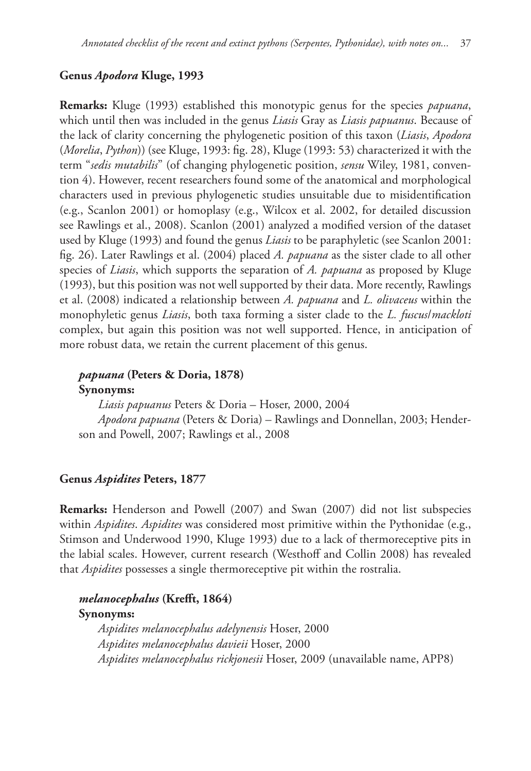# **Genus** *Apodora* **Kluge, 1993**

 **Remarks:** Kluge (1993) established this monotypic genus for the species *papuana*, which until then was included in the genus *Liasis* Gray as *Liasis papuanus*. Because of the lack of clarity concerning the phylogenetic position of this taxon (*Liasis*, *Apodora* (*Morelia*, *Python*)) (see Kluge, 1993: fig. 28), Kluge (1993: 53) characterized it with the term "*sedis mutabilis*" (of changing phylogenetic position, *sensu* Wiley, 1981, convention 4). However, recent researchers found some of the anatomical and morphological characters used in previous phylogenetic studies unsuitable due to misidentification (e.g., Scanlon 2001) or homoplasy (e.g., Wilcox et al. 2002, for detailed discussion see Rawlings et al., 2008). Scanlon (2001) analyzed a modified version of the dataset used by Kluge (1993) and found the genus *Liasis* to be paraphyletic (see Scanlon 2001: fig. 26). Later Rawlings et al. (2004) placed *A. papuana* as the sister clade to all other species of *Liasis*, which supports the separation of *A. papuana* as proposed by Kluge (1993), but this position was not well supported by their data. More recently, Rawlings et al. (2008) indicated a relationship between *A. papuana* and *L. olivaceus* within the monophyletic genus *Liasis*, both taxa forming a sister clade to the *L. fuscus*/*mackloti* complex, but again this position was not well supported. Hence, in anticipation of more robust data, we retain the current placement of this genus.

# *papuana* **(Peters & Doria, 1878) Synonyms:**

 *Liasis papuanus* Peters & Doria – Hoser, 2000, 2004 *Apodora papuana* (Peters & Doria) – Rawlings and Donnellan, 2003; Henderson and Powell, 2007; Rawlings et al., 2008

# **Genus** *Aspidites* **Peters, 1877**

 **Remarks:** Henderson and Powell (2007) and Swan (2007) did not list subspecies within *Aspidites*. *Aspidites* was considered most primitive within the Pythonidae (e.g., Stimson and Underwood 1990, Kluge 1993) due to a lack of thermoreceptive pits in the labial scales. However, current research (Westhoff and Collin 2008) has revealed that *Aspidites* possesses a single thermoreceptive pit within the rostralia.

# *melanocephalus* (Krefft, 1864)  **Synonyms:**   *Aspidites melanocephalus adelynensis* Hoser, 2000 *Aspidites melanocephalus davieii* Hoser, 2000 *Aspidites melanocephalus rickjonesii* Hoser, 2009 (unavailable name, APP8)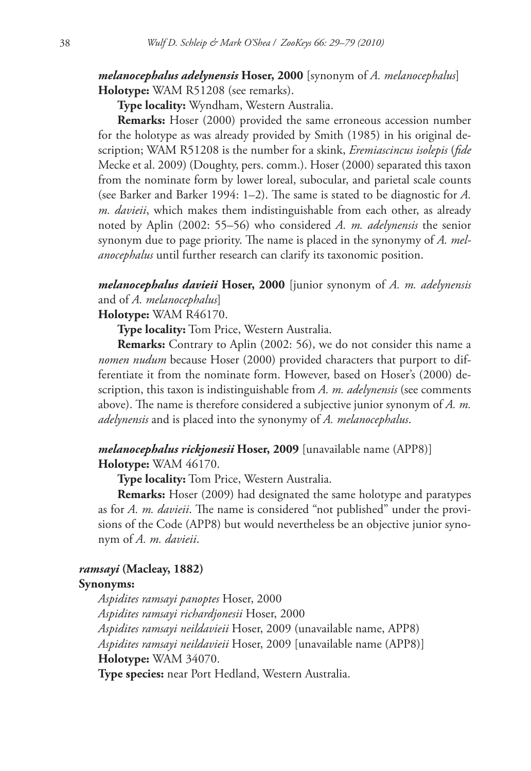# *melanocephalus adelynensis* **Hoser, 2000** [synonym of *A. melanocephalus*]  **Holotype:** WAM R51208 (see remarks).

 **Type locality:** Wyndham, Western Australia.

 **Remarks:** Hoser (2000) provided the same erroneous accession number for the holotype as was already provided by Smith (1985) in his original description; WAM R51208 is the number for a skink, *Eremiascincus isolepis* (*fi de* Mecke et al. 2009) (Doughty, pers. comm.). Hoser (2000) separated this taxon from the nominate form by lower loreal, subocular, and parietal scale counts (see Barker and Barker 1994:  $1-2$ ). The same is stated to be diagnostic for  $A$ . *m. davieii*, which makes them indistinguishable from each other, as already noted by Aplin (2002: 55–56) who considered *A. m. adelynensis* the senior synonym due to page priority. The name is placed in the synonymy of *A. melanocephalus* until further research can clarify its taxonomic position.

 *melanocephalus davieii* **Hoser, 2000** [junior synonym of *A. m. adelynensis*  and of *A. melanocephalus*]

# **Holotype:** WAM R46170.

 **Type locality:** Tom Price, Western Australia.

 **Remarks:** Contrary to Aplin (2002: 56), we do not consider this name a *nomen nudum* because Hoser (2000) provided characters that purport to differentiate it from the nominate form. However, based on Hoser's (2000) description, this taxon is indistinguishable from *A. m. adelynensis* (see comments above). The name is therefore considered a subjective junior synonym of  $A$ .  $m$ . *adelynensis* and is placed into the synonymy of *A. melanocephalus*.

# *melanocephalus rickjonesii* **Hoser, 2009** [unavailable name (APP8)]  **Holotype:** WAM 46170.

 **Type locality:** Tom Price, Western Australia.

 **Remarks:** Hoser (2009) had designated the same holotype and paratypes as for *A. m. davieii*. The name is considered "not published" under the provisions of the Code (APP8) but would nevertheless be an objective junior synonym of *A. m. davieii*.

### *ramsayi* **(Macleay, 1882)**

### **Synonyms:**

 *Aspidites ramsayi panoptes* Hoser, 2000 *Aspidites ramsayi richardjonesii* Hoser, 2000 *Aspidites ramsayi neildavieii* Hoser, 2009 (unavailable name, APP8) *Aspidites ramsayi neildavieii* Hoser, 2009 [unavailable name (APP8)]  **Holotype:** WAM 34070.

 **Type species:** near Port Hedland, Western Australia.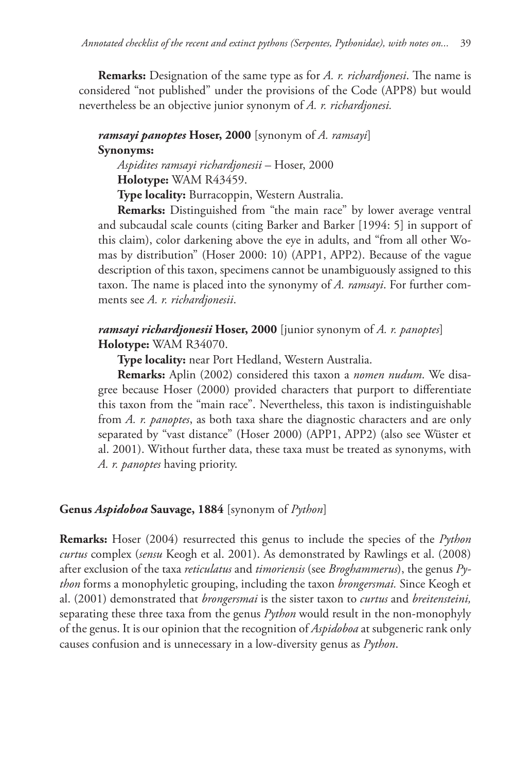**Remarks:** Designation of the same type as for *A. r. richardjonesi*. The name is considered "not published" under the provisions of the Code (APP8) but would nevertheless be an objective junior synonym of *A. r. richardjonesi.*

# *ramsayi panoptes* **Hoser, 2000** [synonym of *A. ramsayi*]  **Synonyms:**

 *Aspidites ramsayi richardjonesii* – Hoser, 2000  **Holotype:** WAM R43459.

 **Type locality:** Burracoppin, Western Australia.

 **Remarks:** Distinguished from "the main race" by lower average ventral and subcaudal scale counts (citing Barker and Barker [1994: 5] in support of this claim), color darkening above the eye in adults, and "from all other Womas by distribution" (Hoser 2000: 10) (APP1, APP2). Because of the vague description of this taxon, specimens cannot be unambiguously assigned to this taxon. The name is placed into the synonymy of *A. ramsayi*. For further comments see *A. r. richardjonesii*.

# *ramsayi richardjonesii* **Hoser, 2000** [junior synonym of *A. r. panoptes*]  **Holotype:** WAM R34070.

 **Type locality:** near Port Hedland, Western Australia.

 **Remarks:** Aplin (2002) considered this taxon a *nomen nudum*. We disagree because Hoser (2000) provided characters that purport to differentiate this taxon from the "main race". Nevertheless, this taxon is indistinguishable from *A. r. panoptes*, as both taxa share the diagnostic characters and are only separated by "vast distance" (Hoser 2000) (APP1, APP2) (also see Wüster et al. 2001). Without further data, these taxa must be treated as synonyms, with *A. r. panoptes* having priority.

# **Genus** *Aspidoboa* **Sauvage, 1884** [synonym of *Python*]

 **Remarks:** Hoser (2004) resurrected this genus to include the species of the *Python curtus* complex (*sensu* Keogh et al. 2001). As demonstrated by Rawlings et al. (2008) after exclusion of the taxa *reticulatus* and *timoriensis* (see *Broghammerus*), the genus *Python* forms a monophyletic grouping, including the taxon *brongersmai.* Since Keogh et al. (2001) demonstrated that *brongersmai* is the sister taxon to *curtus* and *breitensteini,*  separating these three taxa from the genus *Python* would result in the non-monophyly of the genus. It is our opinion that the recognition of *Aspidoboa* at subgeneric rank only causes confusion and is unnecessary in a low-diversity genus as *Python*.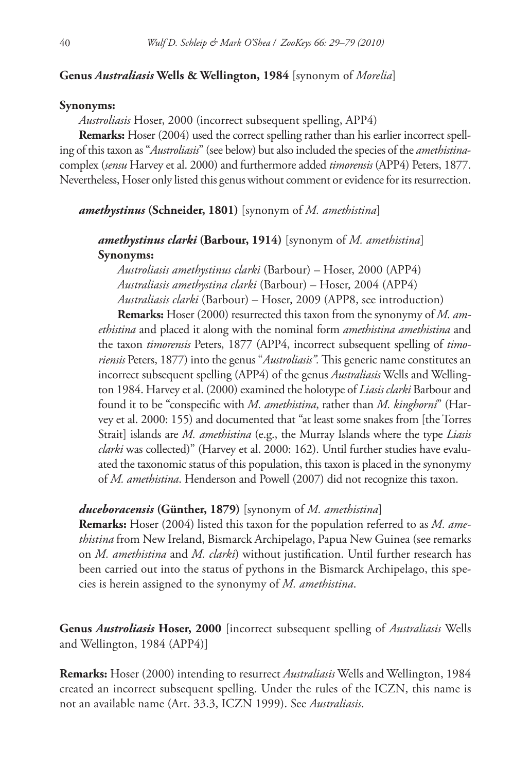### **Genus** *Australiasis* **Wells & Wellington, 1984** [synonym of *Morelia*]

#### **Synonyms:**

 *Austroliasis* Hoser, 2000 (incorrect subsequent spelling, APP4)

**Remarks:** Hoser (2004) used the correct spelling rather than his earlier incorrect spelling of this taxon as "*Austroliasis*" (see below) but also included the species of the *amethistina*complex (*sensu* Harvey et al. 2000) and furthermore added *timorensis* (APP4) Peters, 1877. Nevertheless, Hoser only listed this genus without comment or evidence for its resurrection.

 *amethystinus* **(Schneider, 1801)** [synonym of *M. amethistina*]

# *amethystinus clarki* **(Barbour, 1914)** [synonym of *M. amethistina*]  **Synonyms:**

 *Austroliasis amethystinus clarki* (Barbour) – Hoser, 2000 (APP4) *Australiasis amethystina clarki* (Barbour) – Hoser, 2004 (APP4) *Australiasis clarki* (Barbour) – Hoser, 2009 (APP8, see introduction)

 **Remarks:** Hoser (2000) resurrected this taxon from the synonymy of *M. amethistina* and placed it along with the nominal form *amethistina amethistina* and the taxon *timorensis* Peters, 1877 (APP4, incorrect subsequent spelling of *timoriensis* Peters, 1877) into the genus "*Austroliasis*". This generic name constitutes an incorrect subsequent spelling (APP4) of the genus *Australiasis* Wells and Wellington 1984. Harvey et al. (2000) examined the holotype of *Liasis clarki* Barbour and found it to be "conspecific with *M. amethistina*, rather than *M. kinghorni*" (Harvey et al. 2000: 155) and documented that "at least some snakes from [the Torres Strait] islands are *M. amethistina* (e.g., the Murray Islands where the type *Liasis clarki* was collected)" (Harvey et al. 2000: 162). Until further studies have evaluated the taxonomic status of this population, this taxon is placed in the synonymy of *M. amethistina*. Henderson and Powell (2007) did not recognize this taxon.

#### *duceboracensis* **(Günther, 1879)** [synonym of *M. amethistina*]

 **Remarks:** Hoser (2004) listed this taxon for the population referred to as *M. amethistina* from New Ireland, Bismarck Archipelago, Papua New Guinea (see remarks on *M. amethistina* and *M. clarki*) without justification. Until further research has been carried out into the status of pythons in the Bismarck Archipelago, this species is herein assigned to the synonymy of *M. amethistina*.

 **Genus** *Austroliasis* **Hoser, 2000** [incorrect subsequent spelling of *Australiasis* Wells and Wellington, 1984 (APP4)]

 **Remarks:** Hoser (2000) intending to resurrect *Australiasis* Wells and Wellington, 1984 created an incorrect subsequent spelling. Under the rules of the ICZN, this name is not an available name (Art. 33.3, ICZN 1999). See *Australiasis*.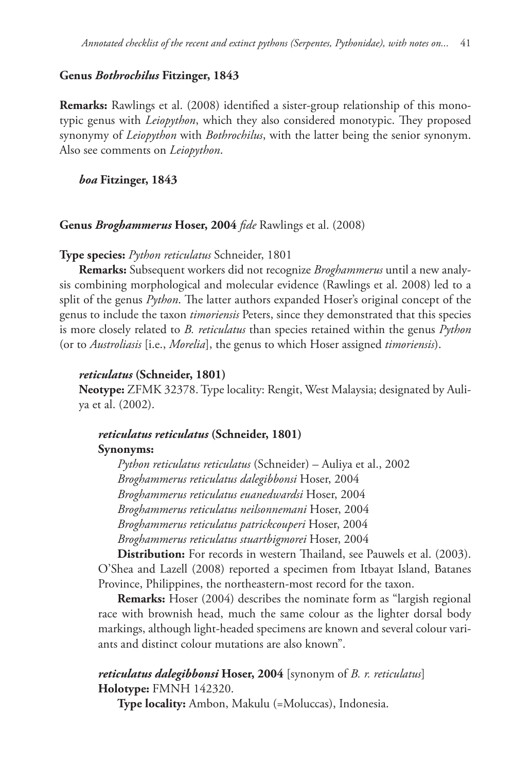### **Genus** *Bothrochilus* **Fitzinger, 1843**

**Remarks:** Rawlings et al. (2008) identified a sister-group relationship of this monotypic genus with *Leiopython*, which they also considered monotypic. They proposed synonymy of *Leiopython* with *Bothrochilus*, with the latter being the senior synonym. Also see comments on *Leiopython*.

# *boa* **Fitzinger, 1843**

#### **Genus** *Broghammerus* **Hoser, 2004** *fide* Rawlings et al. (2008)

#### **Type species:** *Python reticulatus* Schneider, 1801

 **Remarks:** Subsequent workers did not recognize *Broghammerus* until a new analysis combining morphological and molecular evidence (Rawlings et al. 2008) led to a split of the genus *Python*. The latter authors expanded Hoser's original concept of the genus to include the taxon *timoriensis* Peters, since they demonstrated that this species is more closely related to *B. reticulatus* than species retained within the genus *Python* (or to *Austroliasis* [i.e., *Morelia*], the genus to which Hoser assigned *timoriensis*).

### *reticulatus* **(Schneider, 1801)**

 **Neotype:** ZFMK 32378. Type locality: Rengit, West Malaysia; designated by Auliya et al. (2002).

# *reticulatus reticulatus* **(Schneider, 1801)**

#### **Synonyms:**

 *Python reticulatus reticulatus* (Schneider) – Auliya et al., 2002 *Broghammerus reticulatus dalegibbonsi* Hoser, 2004 *Broghammerus reticulatus euanedwardsi* Hoser, 2004 *Broghammerus reticulatus neilsonnemani* Hoser, 2004 *Broghammerus reticulatus patrickcouperi* Hoser, 2004 *Broghammerus reticulatus stuartbigmorei* Hoser, 2004

**Distribution:** For records in western Thailand, see Pauwels et al. (2003). O'Shea and Lazell (2008) reported a specimen from Itbayat Island, Batanes Province, Philippines, the northeastern-most record for the taxon.

 **Remarks:** Hoser (2004) describes the nominate form as "largish regional race with brownish head, much the same colour as the lighter dorsal body markings, although light-headed specimens are known and several colour variants and distinct colour mutations are also known".

# *reticulatus dalegibbonsi* **Hoser, 2004** [synonym of *B. r. reticulatus*]  **Holotype:** FMNH 142320.

 **Type locality:** Ambon, Makulu (=Moluccas), Indonesia.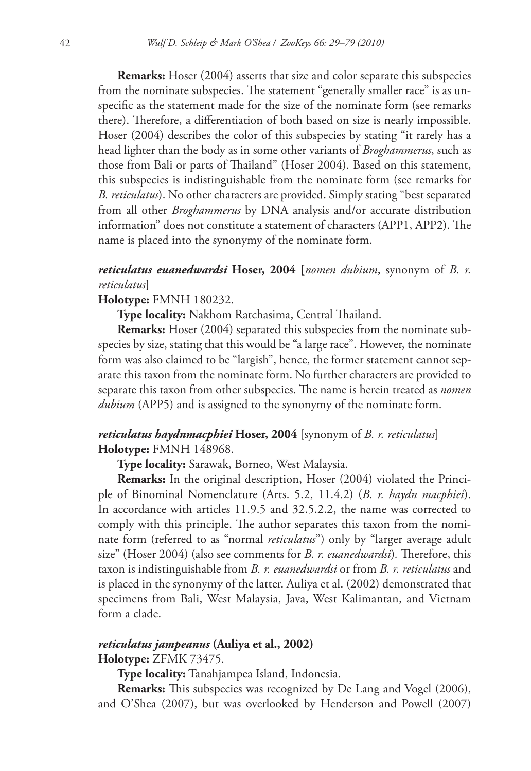**Remarks:** Hoser (2004) asserts that size and color separate this subspecies from the nominate subspecies. The statement "generally smaller race" is as unspecific as the statement made for the size of the nominate form (see remarks there). Therefore, a differentiation of both based on size is nearly impossible. Hoser (2004) describes the color of this subspecies by stating "it rarely has a head lighter than the body as in some other variants of *Broghammerus*, such as those from Bali or parts of Thailand" (Hoser 2004). Based on this statement, this subspecies is indistinguishable from the nominate form (see remarks for *B. reticulatus*). No other characters are provided. Simply stating "best separated from all other *Broghammerus* by DNA analysis and/or accurate distribution information" does not constitute a statement of characters  $APP1, APP2$ ). The name is placed into the synonymy of the nominate form.

# *reticulatus euanedwardsi* **Hoser, 2004 [***nomen dubium*, synonym of *B. r. reticulatus*]

### **Holotype:** FMNH 180232.

**Type locality:** Nakhom Ratchasima, Central Thailand.

**Remarks:** Hoser (2004) separated this subspecies from the nominate subspecies by size, stating that this would be "a large race". However, the nominate form was also claimed to be "largish", hence, the former statement cannot separate this taxon from the nominate form. No further characters are provided to separate this taxon from other subspecies. The name is herein treated as *nomen dubium* (APP5) and is assigned to the synonymy of the nominate form.

# *reticulatus haydnmacphiei* **Hoser, 2004** [synonym of *B. r. reticulatus*]  **Holotype:** FMNH 148968.

### **Type locality:** Sarawak, Borneo, West Malaysia.

 **Remarks:** In the original description, Hoser (2004) violated the Principle of Binominal Nomenclature (Arts. 5.2, 11.4.2) (*B. r. haydn macphiei*). In accordance with articles 11.9.5 and 32.5.2.2, the name was corrected to comply with this principle. The author separates this taxon from the nominate form (referred to as "normal *reticulatus*") only by "larger average adult size" (Hoser 2004) (also see comments for *B. r. euanedwardsi*). Therefore, this taxon is indistinguishable from *B. r. euanedwardsi* or from *B. r. reticulatus* and is placed in the synonymy of the latter. Auliya et al. (2002) demonstrated that specimens from Bali, West Malaysia, Java, West Kalimantan, and Vietnam form a clade.

# *reticulatus jampeanus* **(Auliya et al., 2002)**

#### **Holotype:** ZFMK 73475.

 **Type locality:** Tanahjampea Island, Indonesia.

**Remarks:** This subspecies was recognized by De Lang and Vogel (2006), and O'Shea (2007), but was overlooked by Henderson and Powell (2007)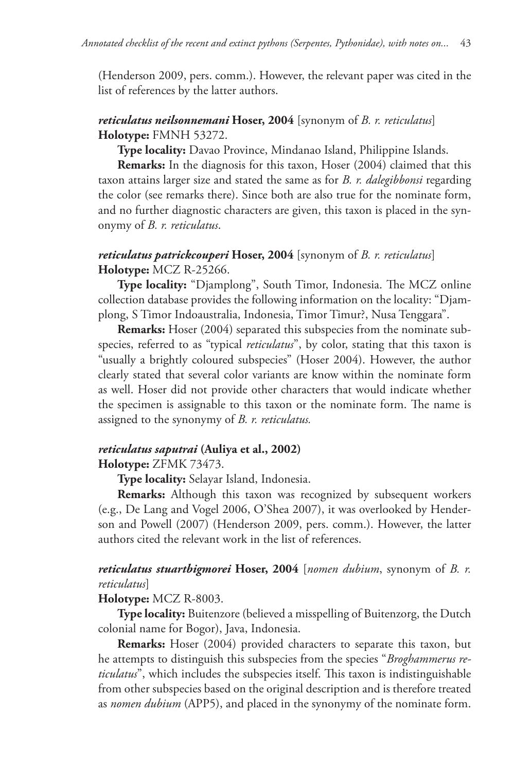(Henderson 2009, pers. comm.). However, the relevant paper was cited in the list of references by the latter authors.

# *reticulatus neilsonnemani* **Hoser, 2004** [synonym of *B. r. reticulatus*]  **Holotype:** FMNH 53272.

 **Type locality:** Davao Province, Mindanao Island, Philippine Islands.

 **Remarks:** In the diagnosis for this taxon, Hoser (2004) claimed that this taxon attains larger size and stated the same as for *B. r. dalegibbonsi* regarding the color (see remarks there). Since both are also true for the nominate form, and no further diagnostic characters are given, this taxon is placed in the synonymy of *B. r. reticulatus*.

# *reticulatus patrickcouperi* **Hoser, 2004** [synonym of *B. r. reticulatus*]  **Holotype:** MCZ R-25266.

**Type locality:** "Djamplong", South Timor, Indonesia. The MCZ online collection database provides the following information on the locality: "Djamplong, S Timor Indoaustralia, Indonesia, Timor Timur?, Nusa Tenggara".

**Remarks:** Hoser (2004) separated this subspecies from the nominate subspecies, referred to as "typical *reticulatus*", by color, stating that this taxon is "usually a brightly coloured subspecies" (Hoser 2004). However, the author clearly stated that several color variants are know within the nominate form as well. Hoser did not provide other characters that would indicate whether the specimen is assignable to this taxon or the nominate form. The name is assigned to the synonymy of *B. r. reticulatus.*

# *reticulatus saputrai* **(Auliya et al., 2002)**

 **Holotype:** ZFMK 73473.

 **Type locality:** Selayar Island, Indonesia.

 **Remarks:** Although this taxon was recognized by subsequent workers (e.g., De Lang and Vogel 2006, O'Shea 2007), it was overlooked by Henderson and Powell (2007) (Henderson 2009, pers. comm.). However, the latter authors cited the relevant work in the list of references.

# *reticulatus stuartbigmorei* **Hoser, 2004** [*nomen dubium*, synonym of *B. r. reticulatus*]

# **Holotype:** MCZ R-8003.

 **Type locality:** Buitenzore (believed a misspelling of Buitenzorg, the Dutch colonial name for Bogor), Java, Indonesia.

 **Remarks:** Hoser (2004) provided characters to separate this taxon, but he attempts to distinguish this subspecies from the species "*Broghammerus reticulatus*", which includes the subspecies itself. This taxon is indistinguishable from other subspecies based on the original description and is therefore treated as *nomen dubium* (APP5), and placed in the synonymy of the nominate form.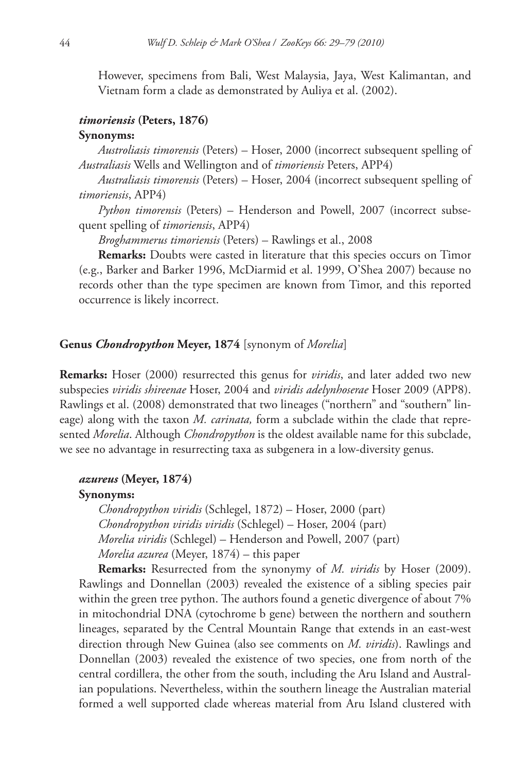However, specimens from Bali, West Malaysia, Jaya, West Kalimantan, and Vietnam form a clade as demonstrated by Auliya et al. (2002).

### *timoriensis* **(Peters, 1876)**

#### **Synonyms:**

 *Austroliasis timorensis* (Peters) – Hoser, 2000 (incorrect subsequent spelling of *Australiasis* Wells and Wellington and of *timoriensis* Peters, APP4)

*Australiasis timorensis* (Peters) – Hoser, 2004 (incorrect subsequent spelling of *timoriensis*, APP4)

*Python timorensis* (Peters) – Henderson and Powell, 2007 (incorrect subsequent spelling of *timoriensis*, APP4)

*Broghammerus timoriensis* (Peters) – Rawlings et al., 2008

 **Remarks:** Doubts were casted in literature that this species occurs on Timor (e.g., Barker and Barker 1996, McDiarmid et al. 1999, O'Shea 2007) because no records other than the type specimen are known from Timor, and this reported occurrence is likely incorrect.

### **Genus** *Chondropython* **Meyer, 1874** [synonym of *Morelia*]

 **Remarks:** Hoser (2000) resurrected this genus for *viridis*, and later added two new subspecies *viridis shireenae* Hoser, 2004 and *viridis adelynhoserae* Hoser 2009 (APP8). Rawlings et al. (2008) demonstrated that two lineages ("northern" and "southern" lineage) along with the taxon *M. carinata,* form a subclade within the clade that represented *Morelia*. Although *Chondropython* is the oldest available name for this subclade, we see no advantage in resurrecting taxa as subgenera in a low-diversity genus.

### *azureus* **(Meyer, 1874)**

#### **Synonyms:**

 *Chondropython viridis* (Schlegel, 1872) – Hoser, 2000 (part) *Chondropython viridis viridis* (Schlegel) – Hoser, 2004 (part) *Morelia viridis* (Schlegel) – Henderson and Powell, 2007 (part) *Morelia azurea* (Meyer, 1874) – this paper

 **Remarks:** Resurrected from the synonymy of *M. viridis* by Hoser (2009). Rawlings and Donnellan (2003) revealed the existence of a sibling species pair within the green tree python. The authors found a genetic divergence of about 7% in mitochondrial DNA (cytochrome b gene) between the northern and southern lineages, separated by the Central Mountain Range that extends in an east-west direction through New Guinea (also see comments on *M. viridis*). Rawlings and Donnellan (2003) revealed the existence of two species, one from north of the central cordillera, the other from the south, including the Aru Island and Australian populations. Nevertheless, within the southern lineage the Australian material formed a well supported clade whereas material from Aru Island clustered with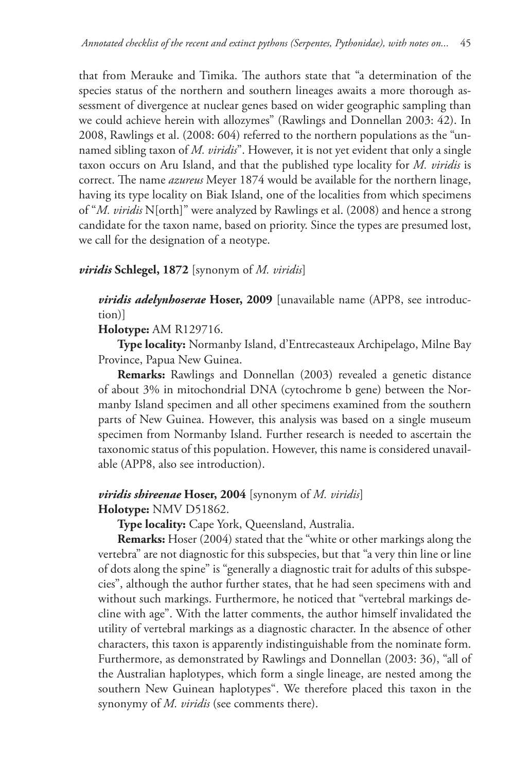that from Merauke and Timika. The authors state that "a determination of the species status of the northern and southern lineages awaits a more thorough assessment of divergence at nuclear genes based on wider geographic sampling than we could achieve herein with allozymes" (Rawlings and Donnellan 2003: 42). In 2008, Rawlings et al. (2008: 604) referred to the northern populations as the "unnamed sibling taxon of *M. viridis*". However, it is not yet evident that only a single taxon occurs on Aru Island, and that the published type locality for *M. viridis* is correct. The name *azureus* Meyer 1874 would be available for the northern linage, having its type locality on Biak Island, one of the localities from which specimens of "*M. viridis* N[orth]" were analyzed by Rawlings et al. (2008) and hence a strong candidate for the taxon name, based on priority. Since the types are presumed lost, we call for the designation of a neotype.

# *viridis* **Schlegel, 1872** [synonym of *M. viridis*]

 *viridis adelynhoserae* **Hoser, 2009** [unavailable name (APP8, see introduction)]

# **Holotype:** AM R129716.

 **Type locality:** Normanby Island, d'Entrecasteaux Archipelago, Milne Bay Province, Papua New Guinea.

 **Remarks:** Rawlings and Donnellan (2003) revealed a genetic distance of about 3% in mitochondrial DNA (cytochrome b gene) between the Normanby Island specimen and all other specimens examined from the southern parts of New Guinea. However, this analysis was based on a single museum specimen from Normanby Island. Further research is needed to ascertain the taxonomic status of this population. However, this name is considered unavailable (APP8, also see introduction).

# *viridis shireenae* **Hoser, 2004** [synonym of *M. viridis*]  **Holotype:** NMV D51862.

 **Type locality:** Cape York, Queensland, Australia.

 **Remarks:** Hoser (2004) stated that the "white or other markings along the vertebra" are not diagnostic for this subspecies, but that "a very thin line or line of dots along the spine" is "generally a diagnostic trait for adults of this subspecies", although the author further states, that he had seen specimens with and without such markings. Furthermore, he noticed that "vertebral markings decline with age". With the latter comments, the author himself invalidated the utility of vertebral markings as a diagnostic character. In the absence of other characters, this taxon is apparently indistinguishable from the nominate form. Furthermore, as demonstrated by Rawlings and Donnellan (2003: 36), "all of the Australian haplotypes, which form a single lineage, are nested among the southern New Guinean haplotypes". We therefore placed this taxon in the synonymy of *M. viridis* (see comments there).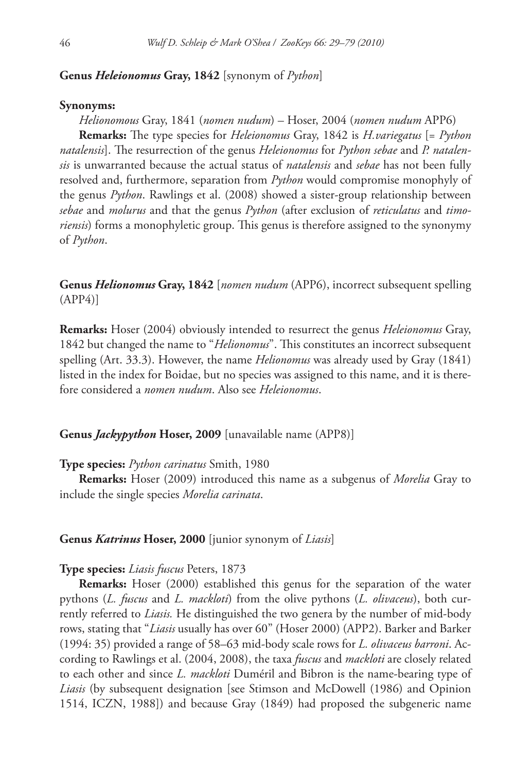### **Genus** *Heleionomus* **Gray, 1842** [synonym of *Python*]

#### **Synonyms:**

 *Helionomous* Gray, 1841 (*nomen nudum*) – Hoser, 2004 (*nomen nudum* APP6)  **Remarks:** The type species for *Heleionomus* Gray, 1842 is *H.variegatus* [= *Python* natalensis]. The resurrection of the genus *Heleionomus* for *Python sebae* and *P. natalensis* is unwarranted because the actual status of *natalensis* and *sebae* has not been fully resolved and, furthermore, separation from *Python* would compromise monophyly of the genus *Python*. Rawlings et al. (2008) showed a sister-group relationship between *sebae* and *molurus* and that the genus *Python* (after exclusion of *reticulatus* and *timoriensis*) forms a monophyletic group. This genus is therefore assigned to the synonymy of *Python*.

 **Genus** *Helionomus* **Gray, 1842** [*nomen nudum* (APP6), incorrect subsequent spelling (APP4)]

 **Remarks:** Hoser (2004) obviously intended to resurrect the genus *Heleionomus* Gray, 1842 but changed the name to "*Helionomus*". This constitutes an incorrect subsequent spelling (Art. 33.3). However, the name *Helionomus* was already used by Gray (1841) listed in the index for Boidae, but no species was assigned to this name, and it is therefore considered a *nomen nudum*. Also see *Heleionomus*.

### **Genus** *Jackypython* **Hoser, 2009** [unavailable name (APP8)]

### **Type species:** *Python carinatus* Smith, 1980

 **Remarks:** Hoser (2009) introduced this name as a subgenus of *Morelia* Gray to include the single species *Morelia carinata*.

#### **Genus** *Katrinus* **Hoser, 2000** [junior synonym of *Liasis*]

#### **Type species:** *Liasis fuscus* Peters, 1873

 **Remarks:** Hoser (2000) established this genus for the separation of the water pythons (*L. fuscus* and *L. mackloti*) from the olive pythons (*L. olivaceus*), both currently referred to *Liasis.* He distinguished the two genera by the number of mid-body rows, stating that "*Liasis* usually has over 60" (Hoser 2000) (APP2). Barker and Barker (1994: 35) provided a range of 58–63 mid-body scale rows for *L. olivaceus barroni*. According to Rawlings et al. (2004, 2008), the taxa *fuscus* and *mackloti* are closely related to each other and since *L. mackloti* Duméril and Bibron is the name-bearing type of *Liasis* (by subsequent designation [see Stimson and McDowell (1986) and Opinion 1514, ICZN, 1988]) and because Gray (1849) had proposed the subgeneric name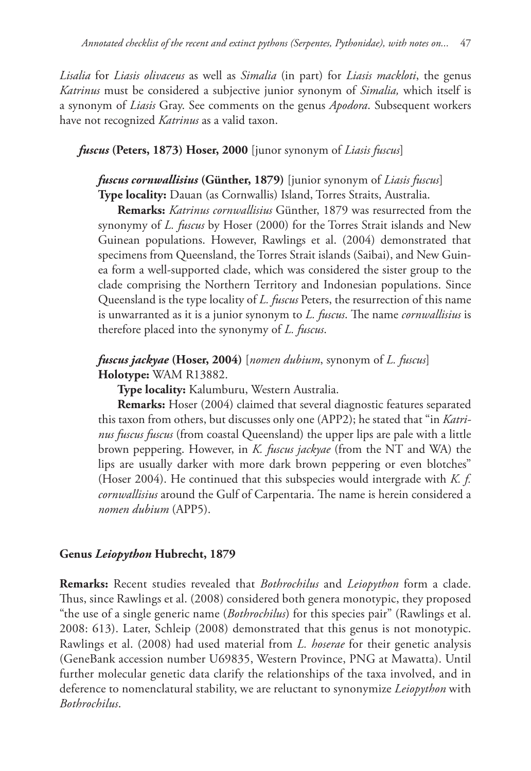*Lisalia* for *Liasis olivaceus* as well as *Simalia* (in part) for *Liasis mackloti*, the genus *Katrinus* must be considered a subjective junior synonym of *Simalia,* which itself is a synonym of *Liasis* Gray. See comments on the genus *Apodora*. Subsequent workers have not recognized *Katrinus* as a valid taxon.

### *fuscus* **(Peters, 1873) Hoser, 2000** [junor synonym of *Liasis fuscus*]

# *fuscus cornwallisius* **(Günther, 1879)** [junior synonym of *Liasis fuscus*]  **Type locality:** Dauan (as Cornwallis) Island, Torres Straits, Australia.

 **Remarks:** *Katrinus cornwallisius* Günther, 1879 was resurrected from the synonymy of *L. fuscus* by Hoser (2000) for the Torres Strait islands and New Guinean populations. However, Rawlings et al. (2004) demonstrated that specimens from Queensland, the Torres Strait islands (Saibai), and New Guinea form a well-supported clade, which was considered the sister group to the clade comprising the Northern Territory and Indonesian populations. Since Queensland is the type locality of *L. fuscus* Peters, the resurrection of this name is unwarranted as it is a junior synonym to *L. fuscus*. The name *cornwallisius* is therefore placed into the synonymy of *L. fuscus*.

# *fuscus jackyae* **(Hoser, 2004)** [*nomen dubium*, synonym of *L. fuscus*]  **Holotype:** WAM R13882.

 **Type locality:** Kalumburu, Western Australia.

 **Remarks:** Hoser (2004) claimed that several diagnostic features separated this taxon from others, but discusses only one (APP2); he stated that "in *Katrinus fuscus fuscus* (from coastal Queensland) the upper lips are pale with a little brown peppering. However, in *K. fuscus jackyae* (from the NT and WA) the lips are usually darker with more dark brown peppering or even blotches" (Hoser 2004). He continued that this subspecies would intergrade with *K. f. cornwallisius* around the Gulf of Carpentaria. The name is herein considered a *nomen dubium* (APP5).

#### **Genus** *Leiopython* **Hubrecht, 1879**

 **Remarks:** Recent studies revealed that *Bothrochilus* and *Leiopython* form a clade. Thus, since Rawlings et al. (2008) considered both genera monotypic, they proposed "the use of a single generic name (*Bothrochilus*) for this species pair" (Rawlings et al. 2008: 613). Later, Schleip (2008) demonstrated that this genus is not monotypic. Rawlings et al. (2008) had used material from *L. hoserae* for their genetic analysis (GeneBank accession number U69835, Western Province, PNG at Mawatta). Until further molecular genetic data clarify the relationships of the taxa involved, and in deference to nomenclatural stability, we are reluctant to synonymize *Leiopython* with *Bothrochilus*.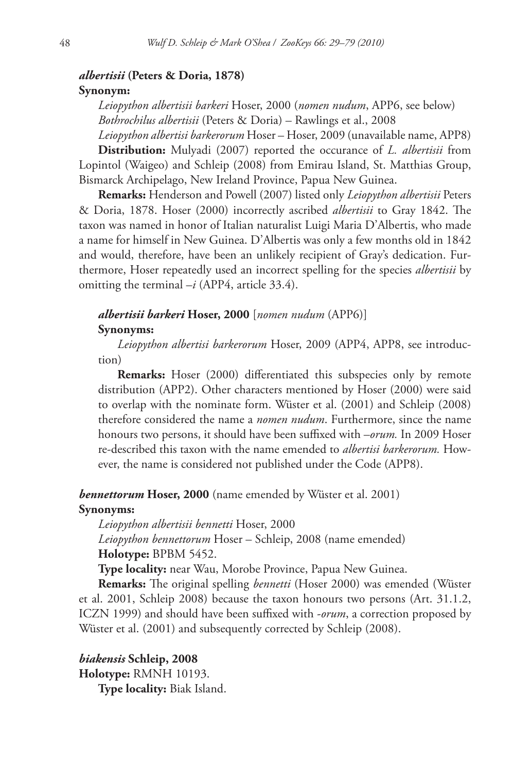# *albertisii* **(Peters & Doria, 1878) Synonym:**

 *Leiopython albertisii barkeri* Hoser, 2000 (*nomen nudum*, APP6, see below) *Bothrochilus albertisii* (Peters & Doria) – Rawlings et al., 2008

*Leiopython albertisi barkerorum* Hoser – Hoser, 2009 (unavailable name, APP8)  **Distribution:** Mulyadi (2007) reported the occurance of *L. albertisii* from Lopintol (Waigeo) and Schleip (2008) from Emirau Island, St. Matthias Group, Bismarck Archipelago, New Ireland Province, Papua New Guinea.

 **Remarks:** Henderson and Powell (2007) listed only *Leiopython albertisii* Peters & Doria, 1878. Hoser (2000) incorrectly ascribed *albertisii* to Gray 1842. The taxon was named in honor of Italian naturalist Luigi Maria D'Albertis, who made a name for himself in New Guinea. D'Albertis was only a few months old in 1842 and would, therefore, have been an unlikely recipient of Gray's dedication. Furthermore, Hoser repeatedly used an incorrect spelling for the species *albertisii* by omitting the terminal –*i* (APP4, article 33.4).

# *albertisii barkeri* **Hoser, 2000** [*nomen nudum* (APP6)]  **Synonyms:**

 *Leiopython albertisi barkerorum* Hoser, 2009 (APP4, APP8, see introduction)

**Remarks:** Hoser (2000) differentiated this subspecies only by remote distribution (APP2). Other characters mentioned by Hoser (2000) were said to overlap with the nominate form. Wüster et al. (2001) and Schleip (2008) therefore considered the name a *nomen nudum*. Furthermore, since the name honours two persons, it should have been suffixed with *–orum*. In 2009 Hoser re-described this taxon with the name emended to *albertisi barkerorum.* However, the name is considered not published under the Code (APP8).

# *bennettorum* **Hoser, 2000** (name emended by Wüster et al. 2001)  **Synonyms:**

 *Leiopython albertisii bennetti* Hoser, 2000

*Leiopython bennettorum* Hoser – Schleip, 2008 (name emended)  **Holotype:** BPBM 5452.

 **Type locality:** near Wau, Morobe Province, Papua New Guinea.

**Remarks:** The original spelling *bennetti* (Hoser 2000) was emended (Wüster et al. 2001, Schleip 2008) because the taxon honours two persons (Art. 31.1.2, ICZN 1999) and should have been suffixed with *-orum*, a correction proposed by Wüster et al. (2001) and subsequently corrected by Schleip (2008).

 *biakensis* **Schleip, 2008**

 **Holotype:** RMNH 10193.

 **Type locality:** Biak Island.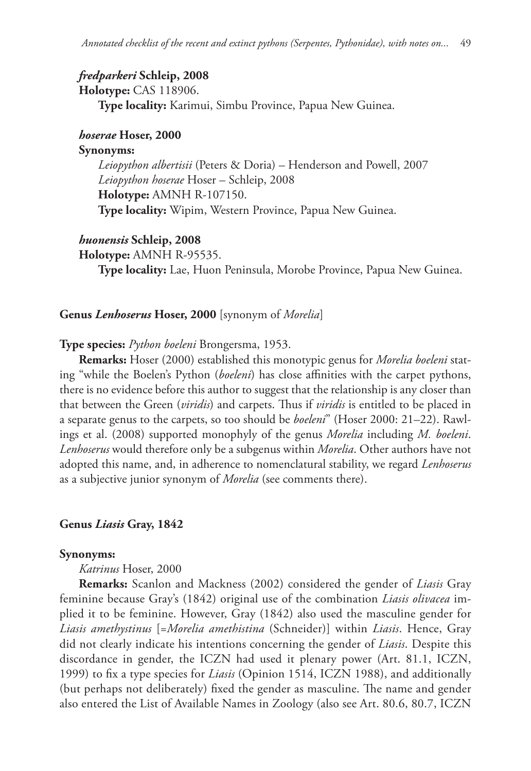### *fredparkeri* **Schleip, 2008**

 **Holotype:** CAS 118906.

 **Type locality:** Karimui, Simbu Province, Papua New Guinea.

### *hoserae* **Hoser, 2000**

### **Synonyms:**

 *Leiopython albertisii* (Peters & Doria) – Henderson and Powell, 2007 *Leiopython hoserae* Hoser – Schleip, 2008  **Holotype:** AMNH R-107150.  **Type locality:** Wipim, Western Province, Papua New Guinea.

#### *huonensis* **Schleip, 2008**

 **Holotype:** AMNH R-95535.

 **Type locality:** Lae, Huon Peninsula, Morobe Province, Papua New Guinea.

#### **Genus** *Lenhoserus* **Hoser, 2000** [synonym of *Morelia*]

#### **Type species:** *Python boeleni* Brongersma, 1953.

 **Remarks:** Hoser (2000) established this monotypic genus for *Morelia boeleni* stating "while the Boelen's Python (*boeleni*) has close affinities with the carpet pythons, there is no evidence before this author to suggest that the relationship is any closer than that between the Green (*viridis*) and carpets. Thus if *viridis* is entitled to be placed in a separate genus to the carpets, so too should be *boeleni*" (Hoser 2000: 21–22). Rawlings et al. (2008) supported monophyly of the genus *Morelia* including *M. boeleni*. *Lenhoserus* would therefore only be a subgenus within *Morelia*. Other authors have not adopted this name, and, in adherence to nomenclatural stability, we regard *Lenhoserus* as a subjective junior synonym of *Morelia* (see comments there).

### **Genus** *Liasis* **Gray, 1842**

#### **Synonyms:**

 *Katrinus* Hoser, 2000

 **Remarks:** Scanlon and Mackness (2002) considered the gender of *Liasis* Gray feminine because Gray's (1842) original use of the combination *Liasis olivacea* implied it to be feminine. However, Gray (1842) also used the masculine gender for *Liasis amethystinus* [=*Morelia amethistina* (Schneider)] within *Liasis*. Hence, Gray did not clearly indicate his intentions concerning the gender of *Liasis*. Despite this discordance in gender, the ICZN had used it plenary power (Art. 81.1, ICZN, 1999) to fix a type species for *Liasis* (Opinion 1514, ICZN 1988), and additionally (but perhaps not deliberately) fixed the gender as masculine. The name and gender also entered the List of Available Names in Zoology (also see Art. 80.6, 80.7, ICZN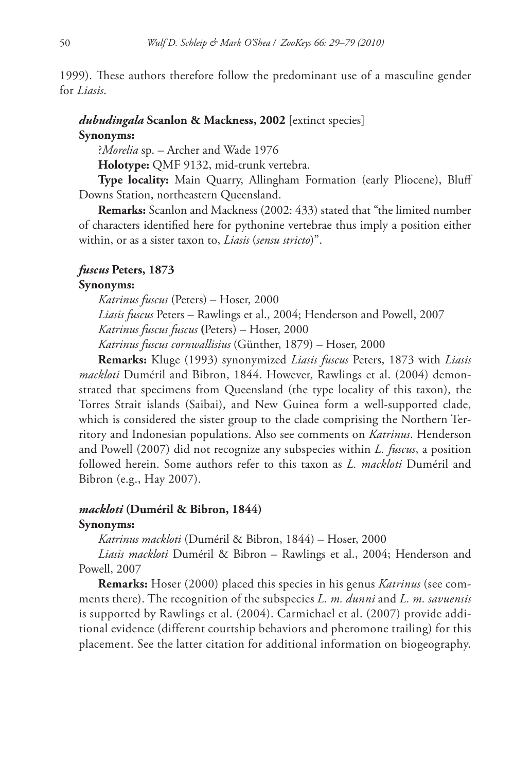1999). These authors therefore follow the predominant use of a masculine gender for *Liasis*.

# *dubudingala* **Scanlon & Mackness, 2002** [extinct species]

### **Synonyms:**

?*Morelia* sp. – Archer and Wade 1976

 **Holotype:** QMF 9132, mid-trunk vertebra.

 **Type locality:** Main Quarry, Allingham Formation (early Pliocene), Bluff Downs Station, northeastern Queensland.

 **Remarks:** Scanlon and Mackness (2002: 433) stated that "the limited number of characters identified here for pythonine vertebrae thus imply a position either within, or as a sister taxon to, *Liasis* (*sensu stricto*)".

### *fuscus* **Peters, 1873**

### **Synonyms:**

 *Katrinus fuscus* (Peters) – Hoser, 2000 *Liasis fuscus* Peters – Rawlings et al., 2004; Henderson and Powell, 2007 *Katrinus fuscus fuscus* **(**Peters) – Hoser, 2000 *Katrinus fuscus cornwallisius* (Günther, 1879) – Hoser, 2000

 **Remarks:** Kluge (1993) synonymized *Liasis fuscus* Peters, 1873 with *Liasis mackloti* Duméril and Bibron, 1844. However, Rawlings et al. (2004) demonstrated that specimens from Queensland (the type locality of this taxon), the Torres Strait islands (Saibai), and New Guinea form a well-supported clade, which is considered the sister group to the clade comprising the Northern Territory and Indonesian populations. Also see comments on *Katrinus*. Henderson and Powell (2007) did not recognize any subspecies within *L. fuscus*, a position followed herein. Some authors refer to this taxon as *L. mackloti* Duméril and Bibron (e.g., Hay 2007).

### *mackloti* **(Duméril & Bibron, 1844)**

### **Synonyms:**

 *Katrinus mackloti* (Duméril & Bibron, 1844) – Hoser, 2000

*Liasis mackloti* Duméril & Bibron – Rawlings et al., 2004; Henderson and Powell, 2007

 **Remarks:** Hoser (2000) placed this species in his genus *Katrinus* (see comments there). The recognition of the subspecies *L. m. dunni* and *L. m. savuensis* is supported by Rawlings et al. (2004). Carmichael et al. (2007) provide additional evidence (different courtship behaviors and pheromone trailing) for this placement. See the latter citation for additional information on biogeography.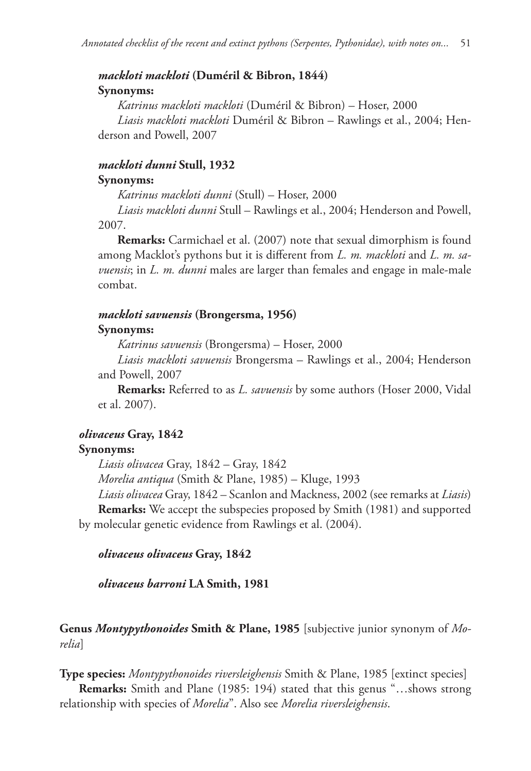# *mackloti mackloti* **(Duméril & Bibron, 1844)**

### **Synonyms:**

 *Katrinus mackloti mackloti* (Duméril & Bibron) – Hoser, 2000 *Liasis mackloti mackloti* Duméril & Bibron – Rawlings et al., 2004; Henderson and Powell, 2007

# *mackloti dunni* **Stull, 1932**

### **Synonyms:**

 *Katrinus mackloti dunni* (Stull) – Hoser, 2000

*Liasis mackloti dunni* Stull – Rawlings et al., 2004; Henderson and Powell, 2007.

 **Remarks:** Carmichael et al. (2007) note that sexual dimorphism is found among Macklot's pythons but it is different from *L. m. mackloti* and *L. m. savuensis*; in *L. m. dunni* males are larger than females and engage in male-male combat.

### *mackloti savuensis* **(Brongersma, 1956)**

### **Synonyms:**

 *Katrinus savuensis* (Brongersma) – Hoser, 2000

*Liasis mackloti savuensis* Brongersma – Rawlings et al., 2004; Henderson and Powell, 2007

 **Remarks:** Referred to as *L. savuensis* by some authors (Hoser 2000, Vidal et al. 2007).

# *olivaceus* **Gray, 1842**

# **Synonyms:**

 *Liasis olivacea* Gray, 1842 – Gray, 1842

*Morelia antiqua* (Smith & Plane, 1985) – Kluge, 1993

*Liasis olivacea* Gray, 1842 – Scanlon and Mackness, 2002 (see remarks at *Liasis*)  **Remarks:** We accept the subspecies proposed by Smith (1981) and supported by molecular genetic evidence from Rawlings et al. (2004).

 *olivaceus olivaceus* **Gray, 1842**

*olivaceus barroni* **LA Smith, 1981**

 **Genus** *Montypythonoides* **Smith & Plane, 1985** [subjective junior synonym of *Morelia*]

 **Type species:** *Montypythonoides riversleighensis* Smith & Plane, 1985 [extinct species]

 **Remarks:** Smith and Plane (1985: 194) stated that this genus "…shows strong relationship with species of *Morelia*". Also see *Morelia riversleighensis*.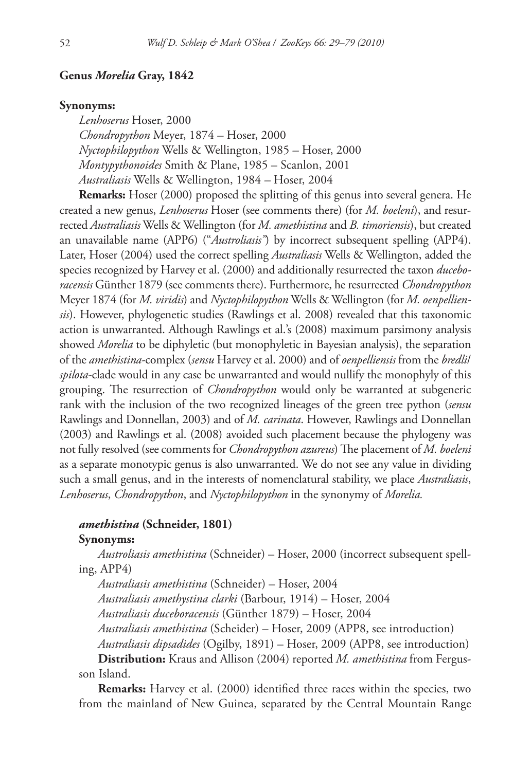### **Genus** *Morelia* **Gray, 1842**

#### **Synonyms:**

 *Lenhoserus* Hoser, 2000 *Chondropython* Meyer, 1874 *–* Hoser, 2000 *Nyctophilopython* Wells & Wellington, 1985 *–* Hoser, 2000 *Montypythonoides* Smith & Plane, 1985 – Scanlon, 2001 *Australiasis* Wells & Wellington, 1984 *–* Hoser, 2004

 **Remarks:** Hoser (2000) proposed the splitting of this genus into several genera. He created a new genus, *Lenhoserus* Hoser (see comments there) (for *M. boeleni*), and resurrected *Australiasis* Wells & Wellington (for *M. amethistina* and *B. timoriensis*), but created an unavailable name (APP6) ("*Austroliasis"*) by incorrect subsequent spelling (APP4). Later, Hoser (2004) used the correct spelling *Australiasis* Wells & Wellington, added the species recognized by Harvey et al. (2000) and additionally resurrected the taxon *duceboracensis* Günther 1879 (see comments there). Furthermore, he resurrected *Chondropython* Meyer 1874 (for *M. viridis*) and *Nyctophilopython* Wells & Wellington (for *M. oenpelliensis*). However, phylogenetic studies (Rawlings et al. 2008) revealed that this taxonomic action is unwarranted. Although Rawlings et al.'s (2008) maximum parsimony analysis showed *Morelia* to be diphyletic (but monophyletic in Bayesian analysis), the separation of the *amethistina*-complex (*sensu* Harvey et al. 2000) and of *oenpelliensis* from the *bredli*/ *spilota*-clade would in any case be unwarranted and would nullify the monophyly of this grouping. The resurrection of *Chondropython* would only be warranted at subgeneric rank with the inclusion of the two recognized lineages of the green tree python (*sensu* Rawlings and Donnellan, 2003) and of *M. carinata*. However, Rawlings and Donnellan (2003) and Rawlings et al. (2008) avoided such placement because the phylogeny was not fully resolved (see comments for *Chondropython azureus*) The placement of *M. boeleni* as a separate monotypic genus is also unwarranted. We do not see any value in dividing such a small genus, and in the interests of nomenclatural stability, we place *Australiasis*, *Lenhoserus*, *Chondropython*, and *Nyctophilopython* in the synonymy of *Morelia.*

### *amethistina* **(Schneider, 1801)**

#### **Synonyms:**

 *Austroliasis amethistina* (Schneider) – Hoser, 2000 (incorrect subsequent spelling, APP4)

*Australiasis amethistina* (Schneider) – Hoser, 2004

*Australiasis amethystina clarki* (Barbour, 1914) – Hoser, 2004

*Australiasis duceboracensis* (Günther 1879) – Hoser, 2004

*Australiasis amethistina* (Scheider) – Hoser, 2009 (APP8, see introduction)

*Australiasis dipsadides* (Ogilby, 1891) – Hoser, 2009 (APP8, see introduction)

 **Distribution:** Kraus and Allison (2004) reported *M. amethistina* from Fergusson Island.

**Remarks:** Harvey et al. (2000) identified three races within the species, two from the mainland of New Guinea, separated by the Central Mountain Range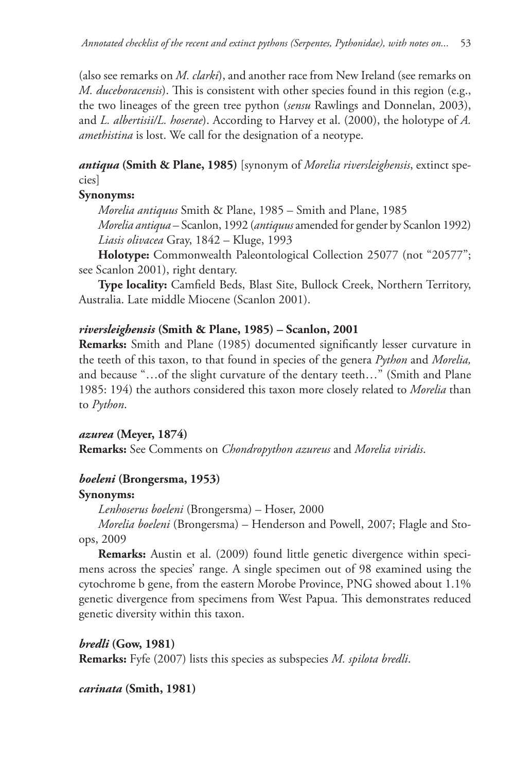(also see remarks on *M. clarki*), and another race from New Ireland (see remarks on *M. duceboracensis*). This is consistent with other species found in this region (e.g., the two lineages of the green tree python (*sensu* Rawlings and Donnelan, 2003), and *L. albertisii/L. hoserae*). According to Harvey et al. (2000), the holotype of *A. amethistina* is lost. We call for the designation of a neotype.

 *antiqua* **(Smith & Plane, 1985)** [synonym of *Morelia riversleighensis*, extinct species]

# **Synonyms:**

 *Morelia antiquus* Smith & Plane, 1985 – Smith and Plane, 1985

*Morelia antiqua* – Scanlon, 1992 (*antiquus* amended for gender by Scanlon 1992) *Liasis olivacea* Gray, 1842 – Kluge, 1993

 **Holotype:** Commonwealth Paleontological Collection 25077 (not "20577"; see Scanlon 2001), right dentary.

**Type locality:** Camfield Beds, Blast Site, Bullock Creek, Northern Territory, Australia. Late middle Miocene (Scanlon 2001).

# *riversleighensis* **(Smith & Plane, 1985) – Scanlon, 2001**

**Remarks:** Smith and Plane (1985) documented significantly lesser curvature in the teeth of this taxon, to that found in species of the genera *Python* and *Morelia,* and because "…of the slight curvature of the dentary teeth…" (Smith and Plane 1985: 194) the authors considered this taxon more closely related to *Morelia* than to *Python*.

# *azurea* **(Meyer, 1874)**

 **Remarks:** See Comments on *Chondropython azureus* and *Morelia viridis*.

# *boeleni* **(Brongersma, 1953)**

# **Synonyms:**

 *Lenhoserus boeleni* (Brongersma) – Hoser, 2000

*Morelia boeleni* (Brongersma) – Henderson and Powell, 2007; Flagle and Stoops, 2009

**Remarks:** Austin et al. (2009) found little genetic divergence within specimens across the species' range. A single specimen out of 98 examined using the cytochrome b gene, from the eastern Morobe Province, PNG showed about 1.1% genetic divergence from specimens from West Papua. This demonstrates reduced genetic diversity within this taxon.

 *bredli* **(Gow, 1981) Remarks:** Fyfe (2007) lists this species as subspecies *M. spilota bredli*.

 *carinata* **(Smith, 1981)**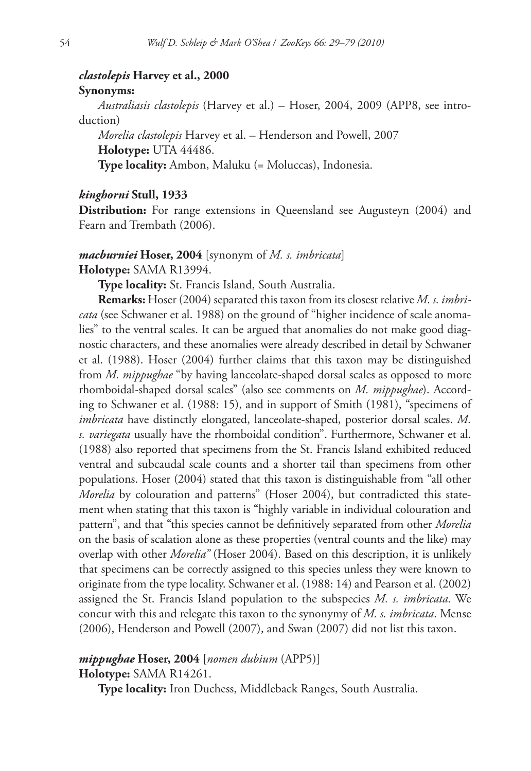# *clastolepis* **Harvey et al., 2000 Synonyms:**

 *Australiasis clastolepis* (Harvey et al.) – Hoser, 2004, 2009 (APP8, see introduction)

*Morelia clastolepis* Harvey et al. – Henderson and Powell, 2007  **Holotype:** UTA 44486.

 **Type locality:** Ambon, Maluku (= Moluccas), Indonesia.

# *kinghorni* **Stull, 1933**

**Distribution:** For range extensions in Queensland see Augusteyn (2004) and Fearn and Trembath (2006).

# *macburniei* **Hoser, 2004** [synonym of *M. s. imbricata*]  **Holotype:** SAMA R13994.

 **Type locality:** St. Francis Island, South Australia.

 **Remarks:** Hoser (2004) separated this taxon from its closest relative *M. s. imbricata* (see Schwaner et al. 1988) on the ground of "higher incidence of scale anomalies" to the ventral scales. It can be argued that anomalies do not make good diagnostic characters, and these anomalies were already described in detail by Schwaner et al. (1988). Hoser (2004) further claims that this taxon may be distinguished from *M. mippughae* "by having lanceolate-shaped dorsal scales as opposed to more rhomboidal-shaped dorsal scales" (also see comments on *M. mippughae*). According to Schwaner et al. (1988: 15), and in support of Smith (1981), "specimens of *imbricata* have distinctly elongated, lanceolate-shaped, posterior dorsal scales. *M. s. variegata* usually have the rhomboidal condition". Furthermore, Schwaner et al. (1988) also reported that specimens from the St. Francis Island exhibited reduced ventral and subcaudal scale counts and a shorter tail than specimens from other populations. Hoser (2004) stated that this taxon is distinguishable from "all other *Morelia* by colouration and patterns" (Hoser 2004), but contradicted this statement when stating that this taxon is "highly variable in individual colouration and pattern", and that "this species cannot be definitively separated from other *Morelia* on the basis of scalation alone as these properties (ventral counts and the like) may overlap with other *Morelia"* (Hoser 2004). Based on this description, it is unlikely that specimens can be correctly assigned to this species unless they were known to originate from the type locality. Schwaner et al. (1988: 14) and Pearson et al. (2002) assigned the St. Francis Island population to the subspecies *M. s. imbricata*. We concur with this and relegate this taxon to the synonymy of *M. s. imbricata*. Mense (2006), Henderson and Powell (2007), and Swan (2007) did not list this taxon.

# *mippughae* **Hoser, 2004** [*nomen dubium* (APP5)]

 **Holotype:** SAMA R14261.

 **Type locality:** Iron Duchess, Middleback Ranges, South Australia.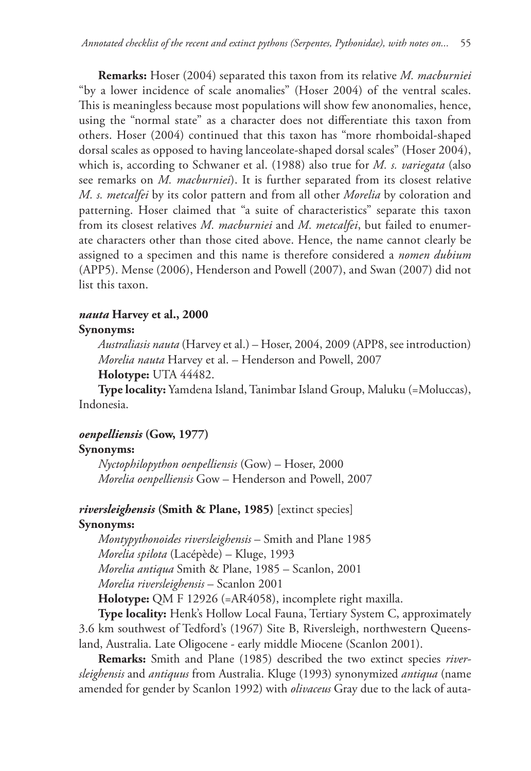**Remarks:** Hoser (2004) separated this taxon from its relative *M. macburniei* "by a lower incidence of scale anomalies" (Hoser 2004) of the ventral scales. This is meaningless because most populations will show few anonomalies, hence, using the "normal state" as a character does not differentiate this taxon from others. Hoser (2004) continued that this taxon has "more rhomboidal-shaped dorsal scales as opposed to having lanceolate-shaped dorsal scales" (Hoser 2004), which is, according to Schwaner et al. (1988) also true for *M. s. variegata* (also see remarks on *M. macburniei*). It is further separated from its closest relative *M. s. metcalfei* by its color pattern and from all other *Morelia* by coloration and patterning. Hoser claimed that "a suite of characteristics" separate this taxon from its closest relatives *M. macburniei* and *M. metcalfei*, but failed to enumerate characters other than those cited above. Hence, the name cannot clearly be assigned to a specimen and this name is therefore considered a *nomen dubium*  (APP5). Mense (2006), Henderson and Powell (2007), and Swan (2007) did not list this taxon.

# *nauta* **Harvey et al., 2000**

# **Synonyms:**

 *Australiasis nauta* (Harvey et al.) – Hoser, 2004, 2009 (APP8, see introduction) *Morelia nauta* Harvey et al. – Henderson and Powell, 2007

 **Holotype:** UTA 44482.

 **Type locality:** Yamdena Island, Tanimbar Island Group, Maluku (=Moluccas), Indonesia.

# *oenpelliensis* **(Gow, 1977)**

# **Synonyms:**

 *Nyctophilopython oenpelliensis* (Gow) – Hoser, 2000 *Morelia oenpelliensis* Gow – Henderson and Powell, 2007

# *riversleighensis* **(Smith & Plane, 1985)** [extinct species]

# **Synonyms:**

 *Montypythonoides riversleighensis* – Smith and Plane 1985 *Morelia spilota* (Lacépède) – Kluge, 1993 *Morelia antiqua* Smith & Plane, 1985 – Scanlon, 2001 *Morelia riversleighensis* – Scanlon 2001

 **Holotype:** QM F 12926 (=AR4058), incomplete right maxilla.

 **Type locality:** Henk's Hollow Local Fauna, Tertiary System C, approximately 3.6 km southwest of Tedford's (1967) Site B, Riversleigh, northwestern Queensland, Australia. Late Oligocene - early middle Miocene (Scanlon 2001).

 **Remarks:** Smith and Plane (1985) described the two extinct species *riversleighensis* and *antiquus* from Australia. Kluge (1993) synonymized *antiqua* (name amended for gender by Scanlon 1992) with *olivaceus* Gray due to the lack of auta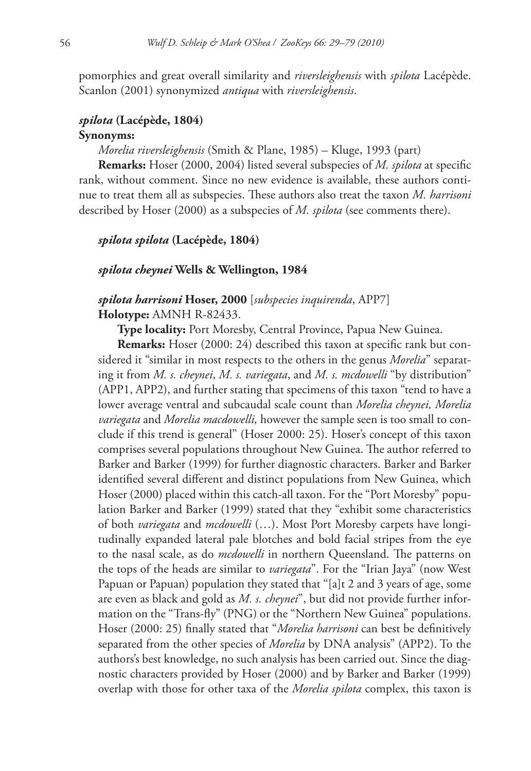pomorphies and great overall similarity and *riversleighensis* with *spilota* Lacépède. Scanlon (2001) synonymized *antiqua* with *riversleighensis*.

# *spilota* **(Lacépède, 1804) Synonyms:**

 *Morelia riversleighensis* (Smith & Plane, 1985) – Kluge, 1993 (part)

**Remarks:** Hoser (2000, 2004) listed several subspecies of *M. spilota* at specific rank, without comment. Since no new evidence is available, these authors continue to treat them all as subspecies. These authors also treat the taxon *M. harrisoni* described by Hoser (2000) as a subspecies of *M. spilota* (see comments there).

### *spilota spilota* **(Lacépède, 1804)**

#### *spilota cheynei* **Wells & Wellington, 1984**

# *spilota harrisoni* **Hoser, 2000** [*subspecies inquirenda*, APP7]  **Holotype:** AMNH R-82433.

 **Type locality:** Port Moresby, Central Province, Papua New Guinea.

**Remarks:** Hoser (2000: 24) described this taxon at specific rank but considered it "similar in most respects to the others in the genus *Morelia*" separating it from *M. s. cheynei*, *M. s. variegata*, and *M. s. mcdowelli* "by distribution" (APP1, APP2), and further stating that specimens of this taxon "tend to have a lower average ventral and subcaudal scale count than *Morelia cheynei, Morelia variegata* and *Morelia macdowelli,* however the sample seen is too small to conclude if this trend is general" (Hoser 2000: 25). Hoser's concept of this taxon comprises several populations throughout New Guinea. The author referred to Barker and Barker (1999) for further diagnostic characters. Barker and Barker identified several different and distinct populations from New Guinea, which Hoser (2000) placed within this catch-all taxon. For the "Port Moresby" population Barker and Barker (1999) stated that they "exhibit some characteristics of both *variegata* and *mcdowelli* (…). Most Port Moresby carpets have longitudinally expanded lateral pale blotches and bold facial stripes from the eye to the nasal scale, as do *mcdowelli* in northern Queensland. The patterns on the tops of the heads are similar to *variegata*". For the "Irian Jaya" (now West Papuan or Papuan) population they stated that "[a]t 2 and 3 years of age, some are even as black and gold as *M. s. cheynei*", but did not provide further information on the "Trans-fly" (PNG) or the "Northern New Guinea" populations. Hoser (2000: 25) finally stated that "Morelia harrisoni can best be definitively separated from the other species of *Morelia* by DNA analysis" (APP2). To the authors's best knowledge, no such analysis has been carried out. Since the diagnostic characters provided by Hoser (2000) and by Barker and Barker (1999) overlap with those for other taxa of the *Morelia spilota* complex, this taxon is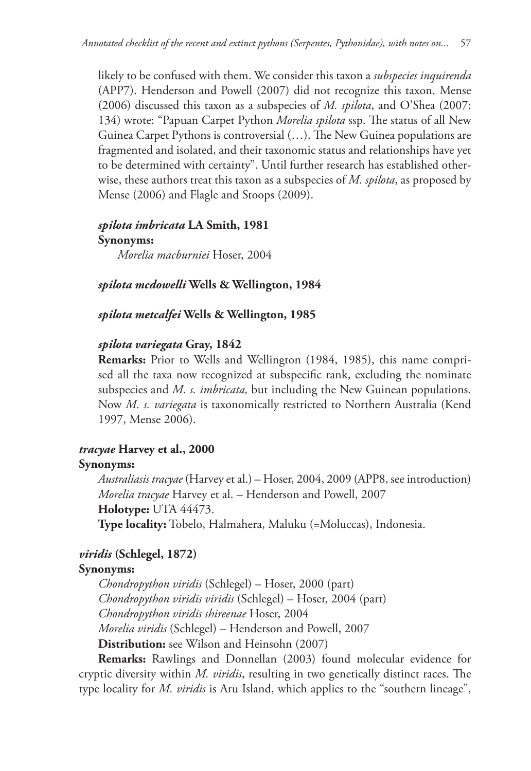likely to be confused with them. We consider this taxon a *subspecies inquirenda* (APP7). Henderson and Powell (2007) did not recognize this taxon. Mense (2006) discussed this taxon as a subspecies of *M. spilota*, and O'Shea (2007: 134) wrote: "Papuan Carpet Python *Morelia spilota* ssp. The status of all New Guinea Carpet Pythons is controversial (...). The New Guinea populations are fragmented and isolated, and their taxonomic status and relationships have yet to be determined with certainty". Until further research has established otherwise, these authors treat this taxon as a subspecies of *M. spilota*, as proposed by Mense (2006) and Flagle and Stoops (2009).

# *spilota imbricata* **LA Smith, 1981**

 **Synonyms:**   *Morelia macburniei* Hoser, 2004

# *spilota mcdowelli* **Wells & Wellington, 1984**

*spilota metcalfei* **Wells & Wellington, 1985**

### *spilota variegata* **Gray, 1842**

 **Remarks:** Prior to Wells and Wellington (1984, 1985), this name comprised all the taxa now recognized at subspecific rank, excluding the nominate subspecies and *M. s. imbricata,* but including the New Guinean populations. Now *M. s. variegata* is taxonomically restricted to Northern Australia (Kend 1997, Mense 2006).

# *tracyae* **Harvey et al., 2000**

### **Synonyms:**

 *Australiasis tracyae* (Harvey et al.) – Hoser, 2004, 2009 (APP8, see introduction) *Morelia tracyae* Harvey et al. – Henderson and Powell, 2007  **Holotype:** UTA 44473.  **Type locality:** Tobelo, Halmahera, Maluku (=Moluccas), Indonesia.

# *viridis* **(Schlegel, 1872)**

# **Synonyms:**

 *Chondropython viridis* (Schlegel) – Hoser, 2000 (part) *Chondropython viridis viridis* (Schlegel) – Hoser, 2004 (part) *Chondropython viridis shireenae* Hoser, 2004 *Morelia viridis* (Schlegel) – Henderson and Powell, 2007  **Distribution:** see Wilson and Heinsohn (2007)

 **Remarks:** Rawlings and Donnellan (2003) found molecular evidence for cryptic diversity within *M. viridis*, resulting in two genetically distinct races. The type locality for *M. viridis* is Aru Island, which applies to the "southern lineage",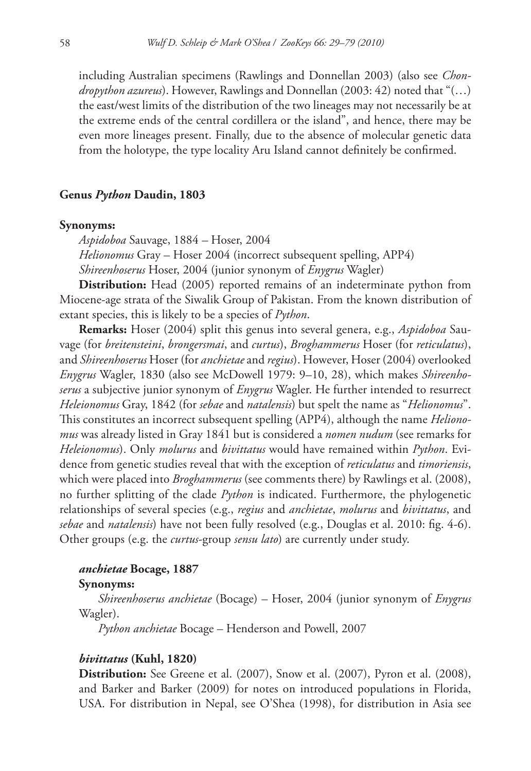including Australian specimens (Rawlings and Donnellan 2003) (also see *Chondropython azureus*). However, Rawlings and Donnellan (2003: 42) noted that "(…) the east/west limits of the distribution of the two lineages may not necessarily be at the extreme ends of the central cordillera or the island", and hence, there may be even more lineages present. Finally, due to the absence of molecular genetic data from the holotype, the type locality Aru Island cannot definitely be confirmed.

### **Genus** *Python* **Daudin, 1803**

### **Synonyms:**

 *Aspidoboa* Sauvage, 1884 *–* Hoser, 2004 *Helionomus* Gray – Hoser 2004 (incorrect subsequent spelling, APP4) *Shireenhoserus* Hoser, 2004 (junior synonym of *Enygrus* Wagler)

 **Distribution:** Head (2005) reported remains of an indeterminate python from Miocene-age strata of the Siwalik Group of Pakistan. From the known distribution of extant species, this is likely to be a species of *Python*.

 **Remarks:** Hoser (2004) split this genus into several genera, e.g., *Aspidoboa* Sauvage (for *breitensteini*, *brongersmai*, and *curtus*), *Broghammerus* Hoser (for *reticulatus*), and *Shireenhoserus* Hoser (for *anchietae* and *regius*). However, Hoser (2004) overlooked *Enygrus* Wagler, 1830 (also see McDowell 1979: 9–10, 28), which makes *Shireenhoserus* a subjective junior synonym of *Enygrus* Wagler. He further intended to resurrect *Heleionomus* Gray, 1842 (for *sebae* and *natalensis*) but spelt the name as "*Helionomus*". This constitutes an incorrect subsequent spelling (APP4), although the name *Helionomus* was already listed in Gray 1841 but is considered a *nomen nudum* (see remarks for *Heleionomus*). Only *molurus* and *bivittatus* would have remained within *Python*. Evidence from genetic studies reveal that with the exception of *reticulatus* and *timoriensis*, which were placed into *Broghammerus* (see comments there) by Rawlings et al. (2008), no further splitting of the clade *Python* is indicated. Furthermore, the phylogenetic relationships of several species (e.g., *regius* and *anchietae*, *molurus* and *bivittatus*, and *sebae* and *natalensis*) have not been fully resolved (e.g., Douglas et al. 2010: fig. 4-6). Other groups (e.g. the *curtus*-group *sensu lato*) are currently under study.

### *anchietae* **Bocage, 1887**

#### **Synonyms:**

 *Shireenhoserus anchietae* (Bocage) – Hoser, 2004 (junior synonym of *Enygrus* Wagler).

*Python anchietae* Bocage – Henderson and Powell, 2007

#### *bivittatus* **(Kuhl, 1820)**

 **Distribution:** See Greene et al. (2007), Snow et al. (2007), Pyron et al. (2008), and Barker and Barker (2009) for notes on introduced populations in Florida, USA. For distribution in Nepal, see O'Shea (1998), for distribution in Asia see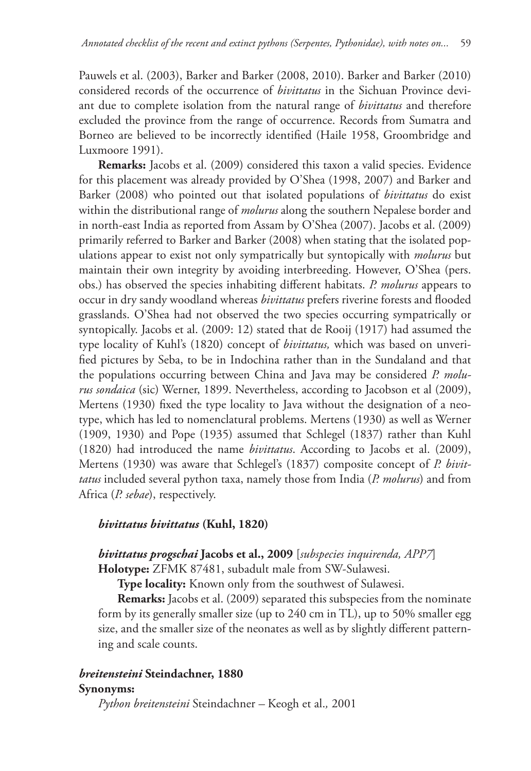Pauwels et al. (2003), Barker and Barker (2008, 2010). Barker and Barker (2010) considered records of the occurrence of *bivittatus* in the Sichuan Province deviant due to complete isolation from the natural range of *bivittatus* and therefore excluded the province from the range of occurrence. Records from Sumatra and Borneo are believed to be incorrectly identified (Haile 1958, Groombridge and Luxmoore 1991).

**Remarks:** Jacobs et al. (2009) considered this taxon a valid species. Evidence for this placement was already provided by O'Shea (1998, 2007) and Barker and Barker (2008) who pointed out that isolated populations of *bivittatus* do exist within the distributional range of *molurus* along the southern Nepalese border and in north-east India as reported from Assam by O'Shea (2007). Jacobs et al. (2009) primarily referred to Barker and Barker (2008) when stating that the isolated populations appear to exist not only sympatrically but syntopically with *molurus* but maintain their own integrity by avoiding interbreeding. However, O'Shea (pers. obs.) has observed the species inhabiting different habitats. *P. molurus* appears to occur in dry sandy woodland whereas *bivittatus* prefers riverine forests and flooded grasslands. O'Shea had not observed the two species occurring sympatrically or syntopically. Jacobs et al. (2009: 12) stated that de Rooij (1917) had assumed the type locality of Kuhl's (1820) concept of *bivittatus,* which was based on unverified pictures by Seba, to be in Indochina rather than in the Sundaland and that the populations occurring between China and Java may be considered *P. molurus sondaica* (sic) Werner, 1899. Nevertheless, according to Jacobson et al (2009), Mertens (1930) fixed the type locality to Java without the designation of a neotype, which has led to nomenclatural problems. Mertens (1930) as well as Werner (1909, 1930) and Pope (1935) assumed that Schlegel (1837) rather than Kuhl (1820) had introduced the name *bivittatus*. According to Jacobs et al. (2009), Mertens (1930) was aware that Schlegel's (1837) composite concept of *P. bivittatus* included several python taxa, namely those from India (*P. molurus*) and from Africa (*P. sebae*), respectively.

# *bivittatus bivittatus* **(Kuhl, 1820)**

# *bivittatus progschai* **Jacobs et al., 2009** [*subspecies inquirenda, APP7*]  **Holotype:** ZFMK 87481, subadult male from SW-Sulawesi.

 **Type locality:** Known only from the southwest of Sulawesi.

**Remarks:** Jacobs et al. (2009) separated this subspecies from the nominate form by its generally smaller size (up to 240 cm in TL), up to 50% smaller egg size, and the smaller size of the neonates as well as by slightly different patterning and scale counts.

# *breitensteini* **Steindachner, 1880**

### **Synonyms:**

 *Python breitensteini* Steindachner *–* Keogh et al.*,* 2001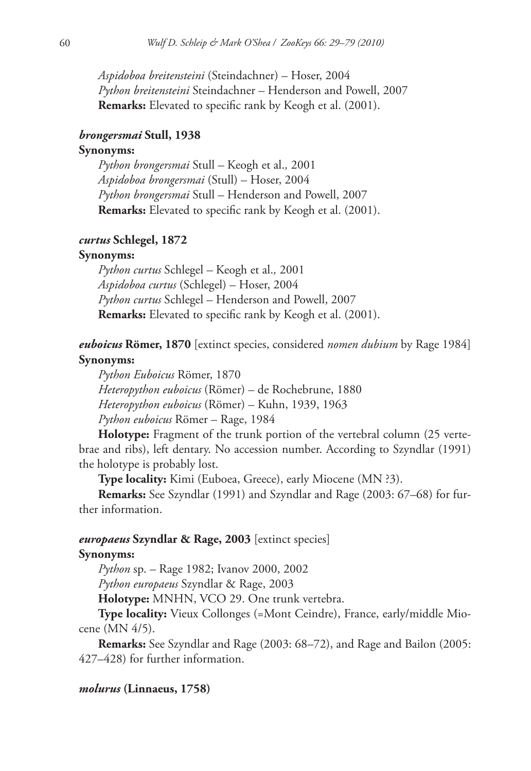*Aspidoboa breitensteini* (Steindachner) – Hoser, 2004 *Python breitensteini* Steindachner – Henderson and Powell, 2007 **Remarks:** Elevated to specific rank by Keogh et al. (2001).

#### *brongersmai* **Stull, 1938**

# **Synonyms:**

 *Python brongersmai* Stull *–* Keogh et al.*,* 2001 *Aspidoboa brongersmai* (Stull) – Hoser, 2004 *Python brongersmai* Stull – Henderson and Powell, 2007 **Remarks:** Elevated to specific rank by Keogh et al. (2001).

# *curtus* **Schlegel, 1872**

### **Synonyms:**

 *Python curtus* Schlegel *–* Keogh et al.*,* 2001 *Aspidoboa curtus* (Schlegel) – Hoser, 2004 *Python curtus* Schlegel – Henderson and Powell, 2007 **Remarks:** Elevated to specific rank by Keogh et al. (2001).

 *euboicus* **Römer, 1870** [extinct species, considered *nomen dubium* by Rage 1984]  **Synonyms:** 

 *Python Euboicus* Römer, 1870 *Heteropython euboicus* (Römer) – de Rochebrune, 1880 *Heteropython euboicus* (Römer) – Kuhn, 1939, 1963 *Python euboicus* Römer – Rage, 1984

 **Holotype:** Fragment of the trunk portion of the vertebral column (25 vertebrae and ribs), left dentary. No accession number. According to Szyndlar (1991) the holotype is probably lost.

 **Type locality:** Kimi (Euboea, Greece), early Miocene (MN ?3).

 **Remarks:** See Szyndlar (1991) and Szyndlar and Rage (2003: 67*–*68) for further information.

#### *europaeus* **Szyndlar & Rage, 2003** [extinct species]

### **Synonyms:**

 *Python* sp. – Rage 1982; Ivanov 2000, 2002

*Python europaeus* Szyndlar & Rage, 2003

 **Holotype:** MNHN, VCO 29. One trunk vertebra.

 **Type locality:** Vieux Collonges (=Mont Ceindre), France, early/middle Miocene (MN 4/5).

 **Remarks:** See Szyndlar and Rage (2003: 68–72), and Rage and Bailon (2005: 427–428) for further information.

### *molurus* **(Linnaeus, 1758)**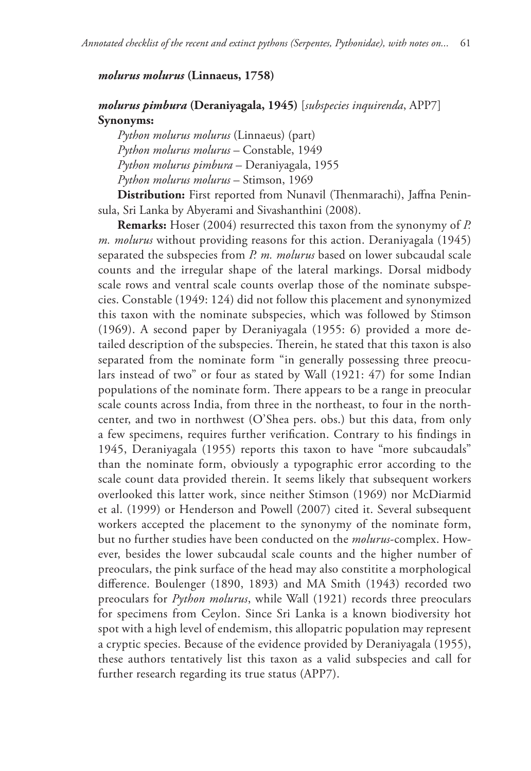#### *molurus molurus* **(Linnaeus, 1758)**

# *molurus pimbura* **(Deraniyagala, 1945)** [*subspecies inquirenda*, APP7]  **Synonyms:**

 *Python molurus molurus* (Linnaeus) (part) *Python molurus molurus* – Constable, 1949 *Python molurus pimbura* – Deraniyagala, 1955 *Python molurus molurus* – Stimson, 1969

Distribution: First reported from Nunavil (Thenmarachi), Jaffna Peninsula, Sri Lanka by Abyerami and Sivashanthini (2008).

 **Remarks:** Hoser (2004) resurrected this taxon from the synonymy of *P. m. molurus* without providing reasons for this action. Deraniyagala (1945) separated the subspecies from *P. m. molurus* based on lower subcaudal scale counts and the irregular shape of the lateral markings. Dorsal midbody scale rows and ventral scale counts overlap those of the nominate subspecies. Constable (1949: 124) did not follow this placement and synonymized this taxon with the nominate subspecies, which was followed by Stimson (1969). A second paper by Deraniyagala (1955: 6) provided a more detailed description of the subspecies. Therein, he stated that this taxon is also separated from the nominate form "in generally possessing three preoculars instead of two" or four as stated by Wall (1921: 47) for some Indian populations of the nominate form. There appears to be a range in preocular scale counts across India, from three in the northeast, to four in the northcenter, and two in northwest (O'Shea pers. obs.) but this data, from only a few specimens, requires further verification. Contrary to his findings in 1945, Deraniyagala (1955) reports this taxon to have "more subcaudals" than the nominate form, obviously a typographic error according to the scale count data provided therein. It seems likely that subsequent workers overlooked this latter work, since neither Stimson (1969) nor McDiarmid et al. (1999) or Henderson and Powell (2007) cited it. Several subsequent workers accepted the placement to the synonymy of the nominate form, but no further studies have been conducted on the *molurus*-complex. However, besides the lower subcaudal scale counts and the higher number of preoculars, the pink surface of the head may also constitite a morphological difference. Boulenger (1890, 1893) and MA Smith (1943) recorded two preoculars for *Python molurus*, while Wall (1921) records three preoculars for specimens from Ceylon. Since Sri Lanka is a known biodiversity hot spot with a high level of endemism, this allopatric population may represent a cryptic species. Because of the evidence provided by Deraniyagala (1955), these authors tentatively list this taxon as a valid subspecies and call for further research regarding its true status (APP7).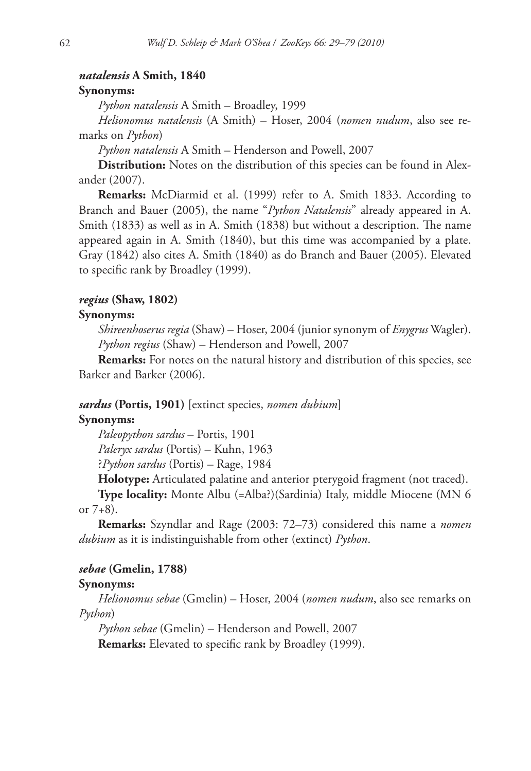### *natalensis* **A Smith, 1840**

### **Synonyms:**

 *Python natalensis* A Smith – Broadley, 1999

*Helionomus natalensis* (A Smith) – Hoser, 2004 (*nomen nudum*, also see remarks on *Python*)

*Python natalensis* A Smith – Henderson and Powell, 2007

**Distribution:** Notes on the distribution of this species can be found in Alexander (2007).

 **Remarks:** McDiarmid et al. (1999) refer to A. Smith 1833. According to Branch and Bauer (2005), the name "*Python Natalensis*" already appeared in A. Smith (1833) as well as in A. Smith (1838) but without a description. The name appeared again in A. Smith (1840), but this time was accompanied by a plate. Gray (1842) also cites A. Smith (1840) as do Branch and Bauer (2005). Elevated to specific rank by Broadley (1999).

#### *regius* **(Shaw, 1802)**

#### **Synonyms:**

 *Shireenhoserus regia* (Shaw) – Hoser, 2004 (junior synonym of *Enygrus* Wagler). *Python regius* (Shaw) – Henderson and Powell, 2007

 **Remarks:** For notes on the natural history and distribution of this species, see Barker and Barker (2006).

### *sardus* **(Portis, 1901)** [extinct species, *nomen dubium*]

### **Synonyms:**

 *Paleopython sardus* – Portis, 1901

*Paleryx sardus* (Portis) – Kuhn, 1963

?*Python sardus* (Portis) – Rage, 1984

 **Holotype:** Articulated palatine and anterior pterygoid fragment (not traced).

 **Type locality:** Monte Albu (=Alba?)(Sardinia) Italy, middle Miocene (MN 6 or  $7+8$ ).

 **Remarks:** Szyndlar and Rage (2003: 72*–*73) considered this name a *nomen dubium* as it is indistinguishable from other (extinct) *Python*.

### *sebae* **(Gmelin, 1788)**

#### **Synonyms:**

 *Helionomus sebae* (Gmelin) – Hoser, 2004 (*nomen nudum*, also see remarks on *Python*)

*Python sebae* (Gmelin) – Henderson and Powell, 2007

**Remarks:** Elevated to specific rank by Broadley (1999).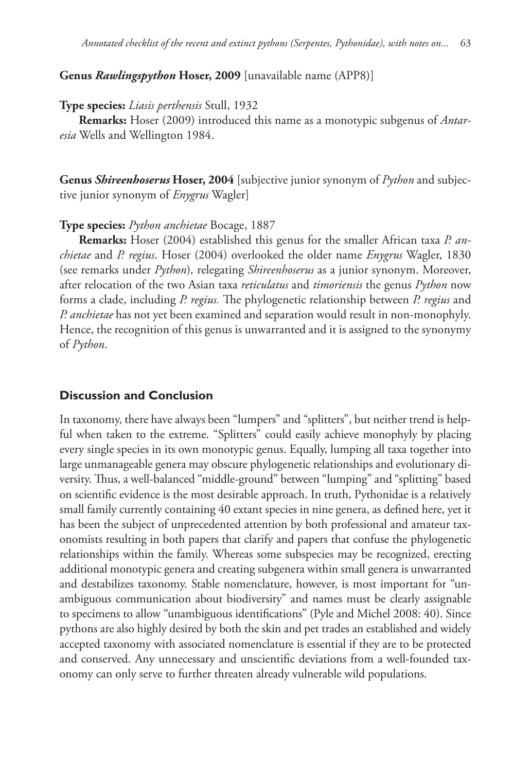### **Genus** *Rawlingspython* **Hoser, 2009** [unavailable name (APP8)]

#### **Type species:** *Liasis perthensis* Stull, 1932

 **Remarks:** Hoser (2009) introduced this name as a monotypic subgenus of *Antaresia* Wells and Wellington 1984.

 **Genus** *Shireenhoserus* **Hoser, 2004** [subjective junior synonym of *Python* and subjective junior synonym of *Enygrus* Wagler]

### **Type species:** *Python anchietae* Bocage, 1887

 **Remarks:** Hoser (2004) established this genus for the smaller African taxa *P. anchietae* and *P. regius*. Hoser (2004) overlooked the older name *Enygrus* Wagler, 1830 (see remarks under *Python*)*,* relegating *Shireenhoserus* as a junior synonym. Moreover, after relocation of the two Asian taxa *reticulatus* and *timoriensis* the genus *Python* now forms a clade, including *P. regius*. The phylogenetic relationship between *P. regius* and *P. anchietae* has not yet been examined and separation would result in non-monophyly. Hence, the recognition of this genus is unwarranted and it is assigned to the synonymy of *Python*.

# **Discussion and Conclusion**

 In taxonomy, there have always been "lumpers" and "splitters", but neither trend is helpful when taken to the extreme. "Splitters" could easily achieve monophyly by placing every single species in its own monotypic genus. Equally, lumping all taxa together into large unmanageable genera may obscure phylogenetic relationships and evolutionary diversity. Thus, a well-balanced "middle-ground" between "lumping" and "splitting" based on scientific evidence is the most desirable approach. In truth, Pythonidae is a relatively small family currently containing 40 extant species in nine genera, as defined here, yet it has been the subject of unprecedented attention by both professional and amateur taxonomists resulting in both papers that clarify and papers that confuse the phylogenetic relationships within the family. Whereas some subspecies may be recognized, erecting additional monotypic genera and creating subgenera within small genera is unwarranted and destabilizes taxonomy. Stable nomenclature, however, is most important for "unambiguous communication about biodiversity" and names must be clearly assignable to specimens to allow "unambiguous identifications" (Pyle and Michel 2008: 40). Since pythons are also highly desired by both the skin and pet trades an established and widely accepted taxonomy with associated nomenclature is essential if they are to be protected and conserved. Any unnecessary and unscientific deviations from a well-founded taxonomy can only serve to further threaten already vulnerable wild populations.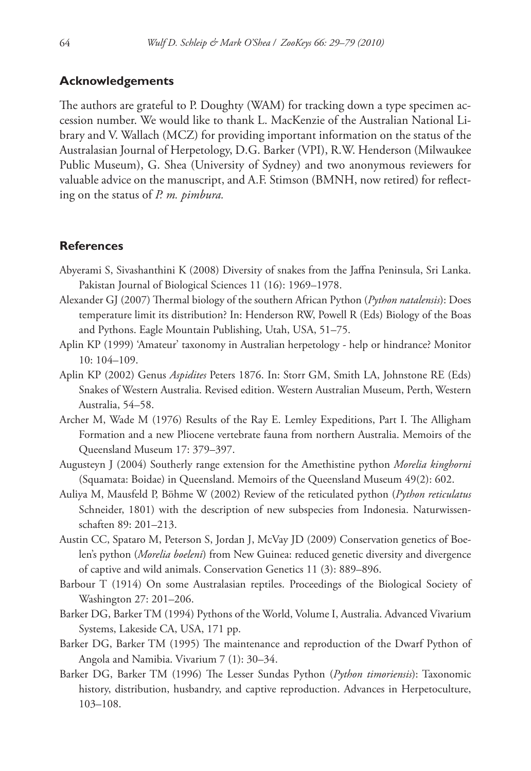### **Acknowledgements**

The authors are grateful to P. Doughty (WAM) for tracking down a type specimen accession number. We would like to thank L. MacKenzie of the Australian National Library and V. Wallach (MCZ) for providing important information on the status of the Australasian Journal of Herpetology, D.G. Barker (VPI), R.W. Henderson (Milwaukee Public Museum), G. Shea (University of Sydney) and two anonymous reviewers for valuable advice on the manuscript, and A.F. Stimson (BMNH, now retired) for reflecting on the status of *P. m. pimbura.*

### **References**

- Abyerami S, Sivashanthini K (2008) Diversity of snakes from the Jaffna Peninsula, Sri Lanka. Pakistan Journal of Biological Sciences 11 (16): 1969–1978.
- Alexander GJ (2007) Thermal biology of the southern African Python (*Python natalensis*): Does temperature limit its distribution? In: Henderson RW, Powell R (Eds) Biology of the Boas and Pythons. Eagle Mountain Publishing, Utah, USA, 51–75.
- Aplin KP (1999) 'Amateur' taxonomy in Australian herpetology help or hindrance? Monitor 10: 104–109.
- Aplin KP (2002) Genus *Aspidites* Peters 1876. In: Storr GM, Smith LA, Johnstone RE (Eds) Snakes of Western Australia. Revised edition. Western Australian Museum, Perth, Western Australia, 54–58.
- Archer M, Wade M (1976) Results of the Ray E. Lemley Expeditions, Part I. The Alligham Formation and a new Pliocene vertebrate fauna from northern Australia. Memoirs of the Queensland Museum 17: 379–397.
- Augusteyn J (2004) Southerly range extension for the Amethistine python *Morelia kinghorni* (Squamata: Boidae) in Queensland. Memoirs of the Queensland Museum 49(2): 602.
- Au liya M, Mausfeld P, Böhme W (2002) Review of the reticulated python (*Python reticulatus*  Schneider, 1801) with the description of new subspecies from Indonesia. Naturwissenschaften 89: 201–213.
- Austin CC, Spataro M, Peterson S, Jordan J, McVay JD (2009) Conservation genetics of Boelen's python (*Morelia boeleni*) from New Guinea: reduced genetic diversity and divergence of captive and wild animals. Conservation Genetics 11 (3): 889–896.
- Barbour T (1914) On some Australasian reptiles. Proceedings of the Biological Society of Washington 27: 201–206.
- Barker DG, Barker TM (1994) Pythons of the World, Volume I, Australia. Advanced Vivarium Systems, Lakeside CA, USA, 171 pp.
- Barker DG, Barker TM (1995) The maintenance and reproduction of the Dwarf Python of Angola and Namibia. Vivarium 7 (1): 30–34.
- Barker DG, Barker TM (1996) The Lesser Sundas Python (*Python timoriensis*): Taxonomic history, distribution, husbandry, and captive reproduction. Advances in Herpetoculture, 103–108.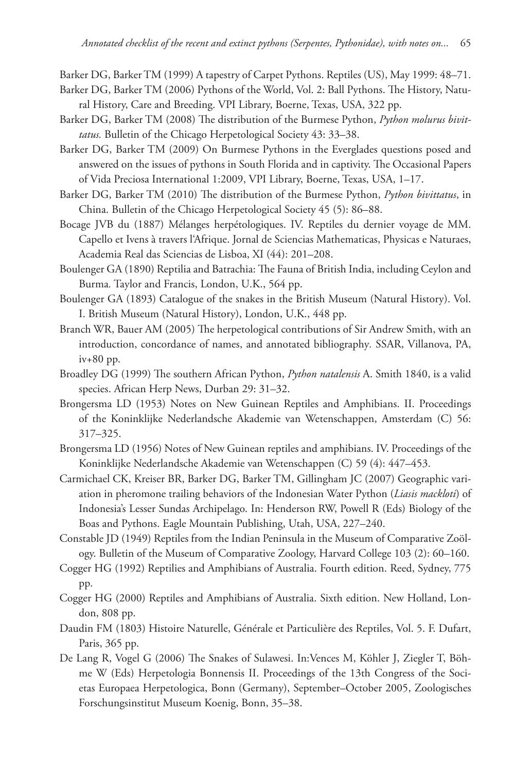Barker DG, Barker TM (1999) A tapestry of Carpet Pythons. Reptiles (US), May 1999: 48–71.

- Barker DG, Barker TM (2006) Pythons of the World, Vol. 2: Ball Pythons. The History, Natural History, Care and Breeding. VPI Library, Boerne, Texas, USA, 322 pp.
- Barker DG, Barker TM (2008) The distribution of the Burmese Python, *Python molurus bivittatus.* Bulletin of the Chicago Herpetological Society 43: 33–38.
- Barker DG, Barker TM (2009) On Burmese Pythons in the Everglades questions posed and answered on the issues of pythons in South Florida and in captivity. The Occasional Papers of Vida Preciosa International 1:2009, VPI Library, Boerne, Texas, USA, 1–17.
- Barker DG, Barker TM (2010) The distribution of the Burmese Python, *Python bivittatus*, in China. Bulletin of the Chicago Herpetological Society 45 (5): 86–88.
- Bocage JVB du (1887) Mélanges herpétologiques. IV. Reptiles du dernier voyage de MM. Capello et Ivens à travers l'Afrique. Jornal de Sciencias Mathematicas, Physicas e Naturaes, Academia Real das Sciencias de Lisboa, XI (44): 201–208.
- Boulenger GA (1890) Reptilia and Batrachia: The Fauna of British India, including Ceylon and Burma*.* Taylor and Francis, London, U.K., 564 pp.
- Boulenger GA (1893) Catalogue of the snakes in the British Museum (Natural History). Vol. I. British Museum (Natural History), London, U.K., 448 pp.
- Branch WR, Bauer AM (2005) The herpetological contributions of Sir Andrew Smith, with an introduction, concordance of names, and annotated bibliography*.* SSAR, Villanova, PA, iv+80 pp.
- Broadley DG (1999) The southern African Python, *Python natalensis* A. Smith 1840, is a valid species. African Herp News, Durban 29: 31–32.
- Brongersma LD (1953) Notes on New Guinean Reptiles and Amphibians. II. Proceedings of the Koninklijke Nederlandsche Akademie van Wetenschappen, Amsterdam (C) 56: 317–325.
- Brongersma LD (1956) Notes of New Guinean reptiles and amphibians. IV. Proceedings of the Koninklijke Nederlandsche Akademie van Wetenschappen (C) 59 (4): 447–453.
- Carmichael CK, Kreiser BR, Barker DG, Barker TM, Gillingham JC (2007) Geographic variation in pheromone trailing behaviors of the Indonesian Water Python (*Liasis mackloti*) of Indon esia's Lesser Sundas Archipelago. In: Henderson RW, Powell R (Eds) Biology of the Boas and Pythons. Eagle Mountain Publishing, Utah, USA, 227–240.
- Constable JD (1949) Reptiles from the Indian Peninsula in the Museum of Comparative Zoölogy. Bulletin of the Museum of Comparative Zoology, Harvard College 103 (2): 60–160.
- Cogger HG (1992) Reptilies and Amphibians of Australia. Fourth edition. Reed, Sydney, 775 pp.
- Cogger HG (2000) Reptiles and Amphibians of Australia. Sixth edition. New Holland, London, 808 pp.
- Daudin FM (1803) Histoire Naturelle, Générale et Particulière des Reptiles, Vol. 5. F. Dufart, Paris, 365 pp.
- De Lang R, Vogel G (2006) The Snakes of Sulawesi. In:Vences M, Köhler J, Ziegler T, Böhme W (Eds) Herpetologia Bonnensis II. Proceedings of the 13th Congress of the Societas Europaea Herpetologica, Bonn (Germany), September-October 2005, Zoologisches Forschungsinstitut Museum Koenig, Bonn, 35–38.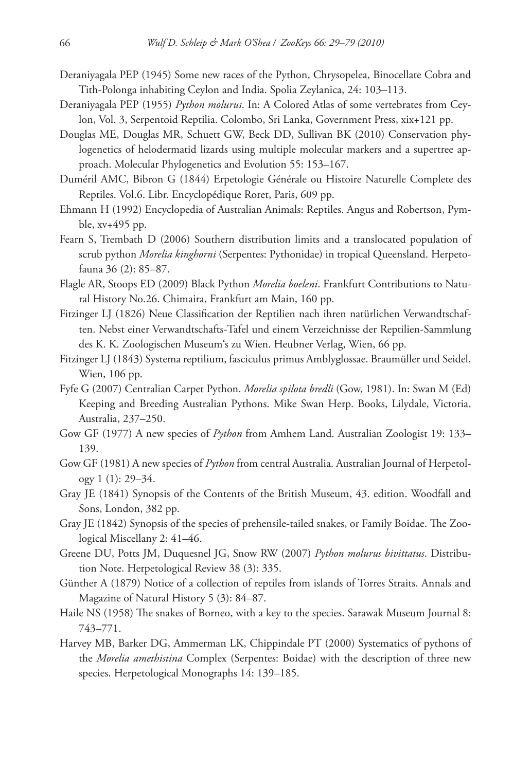- Deraniyagala PEP (1945) Some new races of the Python, Chrysopelea, Binocellate Cobra and Tith-Polonga inhabiting Ceylon and India. Spolia Zeylanica, 24: 103–113.
- Deraniyagala PEP (1955) *Python molurus*. In: A Colored Atlas of some vertebrates from Ceylon, Vol. 3, Serpentoid Reptilia. Colombo, Sri Lanka, Government Press, xix+121 pp.
- Douglas ME, Douglas MR, Schuett GW, Beck DD, Sullivan BK ( 2010) Conservation phylogenetics of helodermatid lizards using multiple molecular markers and a supertree approach. Molecular Phylogenetics and Evolution 55: 153–167.
- Duméril AMC, Bibron G (1844) Erpetologie Générale ou Histoire Naturelle Complete des Reptiles. Vol.6. Libr. Encyclopédique Roret, Paris, 609 pp.
- Ehmann H (1992) Encyclopedia of Australian Animals: Reptiles. Angus and Robertson, Pymble, xv+495 pp.
- Fearn S, Trembath D (2006) Southern distribution limits and a translocated population of scrub python *Morelia kinghorni* (Serpentes: Pythonidae) in tropical Queensland. Herpetofauna 36 (2): 85–87.
- Flagle AR, Stoops ED (2009) Black Python Morelia boeleni. Frankfurt Contributions to Natural History No.26. Chimaira, Frankfurt am Main, 160 pp.
- Fitzinger LJ (1826) Neue Classification der Reptilien nach ihren natürlichen Verwandtschaften. Nebst einer Verwandtschafts-Tafel und einem Verzeichnisse der Reptilien-Sammlung des K. K. Zoologischen Museum's zu Wien. Heubner Verlag, Wien, 66 pp.
- Fitzinger LJ (1843) Systema reptilium, fasciculus primus Amblyglossae. Braumüller und Seidel, Wien, 106 pp.
- Fyfe G (2007) Centralian Carpet Python. *Morelia spilota bredli* (Gow, 1981). In: Swan M (Ed) Keeping and Breeding Australian Pythons. Mike Swan Herp. Books, Lilydale, Victoria, Australia, 237–250.
- Gow GF (1977) A new species of *Python* from Amhem Land. Australian Zoologist 19: 133– 139.
- Gow GF (1981) A new species of *Python* from central Australia. Australian Journal of Herpetology 1 (1): 29–34.
- Gray JE (1841) Synopsis of the Contents of the British Museum, 43. edition. Woodfall and Sons, London, 382 pp.
- Gray JE (1842) Synopsis of the species of prehensile-tailed snakes, or Family Boidae. The Zoological Miscellany 2: 41–46.
- Greene DU, Potts JM, Duquesnel JG, Snow RW (2007) *Python molurus bivittatus*. Distribution Note. Herpetological Review 38 (3): 335.
- Günther A (1879) Notice of a collection of reptiles from islands of Torres Straits. Annals and Magazine of Natural History 5 (3): 84–87.
- Haile NS (1958) The snakes of Borneo, with a key to the species. Sarawak Museum Journal 8: 743–771.
- Harvey MB, Barker DG, Ammerman LK, Chippindale PT (2000) Systematics of pythons of the *Morelia amethistina* Complex (Serpentes: Boidae) with the description of three new species. Herpetological Monographs 14: 139–185.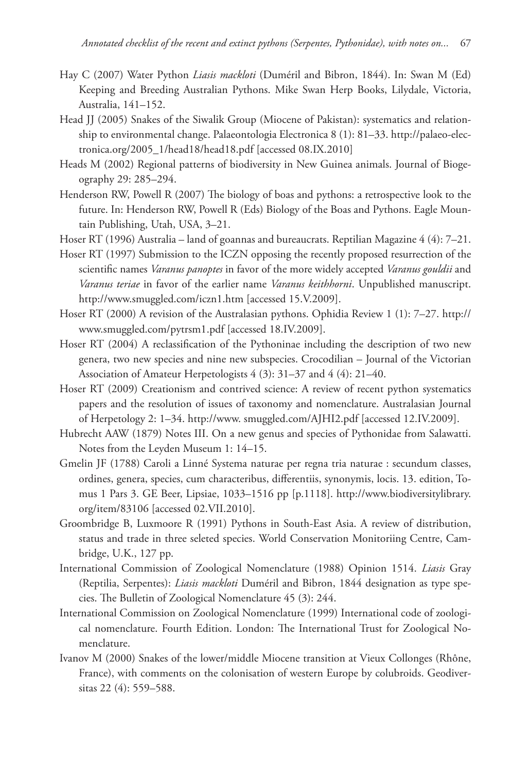- Hay C (2007) Water Python *Liasis mackloti* (Duméril and Bibron, 1844). In: Swan M (Ed) Keeping and Breeding Australian Pythons. Mike Swan Herp Books, Lilydale, Victoria, Australia, 141–152.
- Head JJ (2005) Snakes of the Siwalik Group (Miocene of Pakistan): systematics and relationship to environmental change. Palaeontologia Electronica 8 (1): 81–33. http://palaeo-electronica.org/2005\_1/head18/head18.pdf [accessed 08.IX.2010]
- Heads M (2002) Regional patterns of biodiversity in New Guinea animals. Journal of Biogeography 29: 285–294.
- Henderson RW, Powell R (2007) The biology of boas and pythons: a retrospective look to the future. In: Henderson RW, Powell R (Eds) Biology of the Boas and Pythons. Eagle Mountain Publishing, Utah, USA, 3–21.
- Hoser RT (1996) Australia land of goannas and bureaucrats. Reptilian Magazine 4 (4): 7–21.
- Hoser RT (1997) Submission to the ICZN opposing the recently proposed resurrection of the scientific names *Varanus panoptes* in favor of the more widely accepted *Varanus gouldii* and *Varanus teriae* in favor of the earlier name *Varanus keithhorni*. Unpublished manuscript. http://www.smuggled.com/iczn1.htm [accessed 15.V.2009].
- Hos[er RT \(2000\) A revision of the Australasian pythons. Ophidia Review 1 \(1\): 7–27. http://](http://www.smuggled.com/pytrsm1.pdf) www.smuggled.com/pytrsm1.pdf [accessed 18.IV.2009].
- Hoser RT (2004) A reclassification of the Pythoninae including the description of two new genera, two new species and nine new subspecies. Crocodilian - Journal of the Victorian Association of Amateur Herpetologists 4 (3): 31–37 and 4 (4): 21–40.
- Hoser RT (2009) Creationism and contrived science: A review of recent python systematics papers and the resolution of issues of taxonomy and nomenclature. Australasian Journal of Her petology 2: 1–34. [http://www. smuggled.com/AJHI2.pdf](http://www.smuggled.com/AJHI2.pdf) [accessed 12.IV.2009].
- Hubrecht AAW (1879) Notes III. On a new genus and species of Pythonidae from Salawatti. Notes from the Leyden Museum 1: 14–15.
- Gmelin JF (1788) Caroli a Linné Systema naturae per regna tria naturae : secundum classes, ordines, genera, species, cum characteribus, differentiis, synonymis, locis. 13. edition, Tomus 1 Pars 3. GE Beer, Lipsiae, 1033-1516 pp [p.1118]. http://www.biodiversitylibrary. org/item/83106 [accessed 02.VII.2010].
- Groombridge B, Luxmoore R (1991) Pythons in South-East Asia. A review of distribution, status and trade in three seleted species. World Conservation Monitoriing Centre, Cambridge, U.K., 127 pp.
- International Commission of Zoological Nomenclature (1988) Opinion 1514. *Liasis* Gray (Reptilia, Serpentes): *Liasis mackloti* Duméril and Bibron, 1844 designation as type species. The Bulletin of Zoological Nomenclature 45 (3): 244.
- International Commission on Zoological Nomenclature (1999) International code of zoological nomenclature. Fourth Edition. London: The International Trust for Zoological Nomenclature.
- Ivanov M (2000) Snakes of the lower/middle Miocene transition at Vieux Collonges (Rhône, France), with comments on the colonisation of western Europe by colubroids. Geodiversitas 22 (4): 559–588.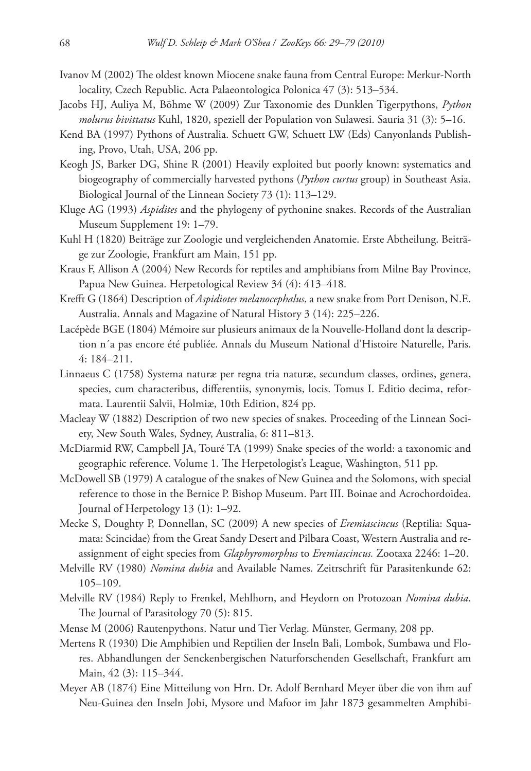- Ivanov M (2002) The oldest known Miocene snake fauna from Central Europe: Merkur-North locality, Czech Republic. Acta Palaeontologica Polonica 47 (3): 513–534.
- Jacobs HJ, Auliya M, Böhme W (2009) Zur Taxonomie des Dunklen Tigerpythons, *Python molurus bivittatus* Kuhl, 1820, speziell der Population von Sulawesi. Sauria 31 (3): 5–16.
- Kend BA (1997) Pythons of Australia. Schuett GW, Schuett LW (Eds) Canyonlands Publishing, Provo, Utah, USA, 206 pp.
- Keogh JS, Barker DG, Shine R (2001) Heavily exploited but poorly known: systematics and biogeography of commercially harvested pythons (*Python curtus* group) in Southeast Asia. Biological Journal of the Linnean Society 73 (1): 113–129.
- Kluge AG (1993) *Aspidites* and the phylogeny of pythonine snakes. Records of the Australian Museum Supplement 19: 1–79.
- Kuhl H (1820) Beiträge zur Zoologie und vergleichenden Anatomie. Erste Abtheilung. Beiträge zur Zoologie, Frankfurt am Main, 151 pp.
- Kraus F, Allison A (2004) New Records for reptiles and amphibians from Milne Bay Province, Papua New Guinea. Herpetological Review 34 (4): 413–418.
- Krefft G (1864) Description of *Aspidiotes melanocephalus*, a new snake from Port Denison, N.E. Australia. Annals and Magazine of Natural History 3 (14): 225–226.
- Lacépède BGE (18 04) Mémoire sur plusieurs animaux de la Nouvelle-Holland dont la description n´a pas encore été publiée. Annals du Museum National d'Histoire Naturelle, Paris. 4: 184–211.
- Linnaeus C (1758) Systema naturæ per regna tria naturæ, secundum classes, ordines, genera, species, cum characteribus, differentiis, synonymis, locis. Tomus I. Editio decima, reformata. Laurentii Salvii, Holmiæ, 10th Edition, 824 pp.
- Macleay W (1882) Description of two new species of snakes. Proceeding of the Linnean Society, New South Wales, Sydney, Australia, 6: 811–813.
- McDiarmid RW, Campbell JA, Touré TA (1999) Snake species of the world: a taxonomic and geographic reference. Volume 1. The Herpetologist's League, Washington, 511 pp.
- McDowell SB (1979) A catalogue of the snakes of New Guinea and the Solomons, with special reference to those in the Bernice P. Bishop Museum. Part III. Boinae and Acrochordoidea. Journal of Herpetology 13 (1): 1–92.
- Mecke S, Doughty P, Donnellan, SC (2009) A new species of *Eremiascincus* (Reptilia: Squamata: Scincidae) from the Great Sandy Desert and Pilbara Coast, Western Australia and reassignment of eight species from *Glaphyromorphus* to *Eremiascincus.* Zootaxa 2246: 1–20.
- Melville RV (1980) *Nomina dubia* and Available Names. Zeitrschrift für Parasitenkunde 62: 105–109.
- Melville RV (1984) Reply to Frenkel, Mehlhorn, and Heydorn on Protozoan *Nomina dubia*. The Journal of Parasitology 70 (5): 815.
- Mense M (2006) Rautenpythons. Natur und Tier Verlag. Münster, Germany, 208 pp.
- Mertens R (1930) Die Amphibien und Reptilien der Inseln Bali, Lombok, Sumbawa und Flores. Abhandlungen der Senckenbergischen Naturforschenden Gesellschaft, Frankfurt am Main, 42 (3): 115–344.
- Meyer AB (1874) Eine Mitteilung von Hrn. Dr. Adolf Bernhard Meyer über die von ihm auf Neu-Guinea den Inseln Jobi, Mysore und Mafoor im Jahr 1873 gesammelten Amphibi-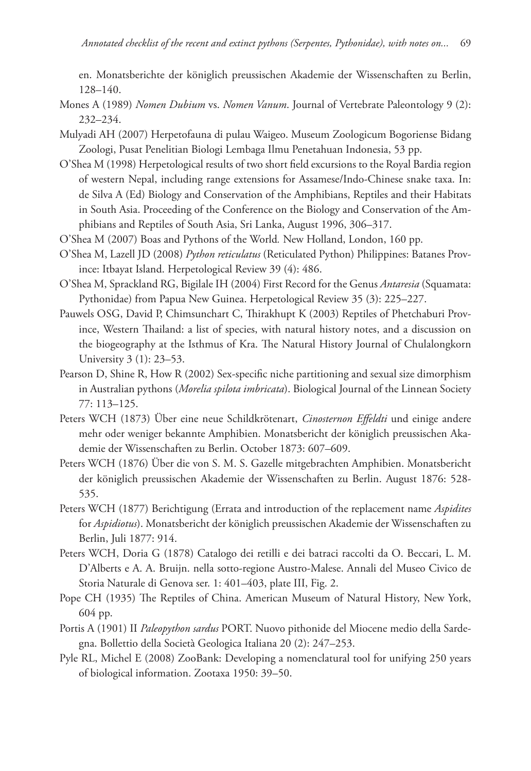en. Monatsberichte der königlich preussischen Akademie der Wissenschaften zu Berlin, 128–140.

- Mones A (1989) *Nomen Dubium* vs. *Nomen Vanum*. Journal of Vertebrate Paleontology 9 (2): 232–234.
- Mulyadi AH (2007) Herpetofauna di pulau Waigeo. Museum Zoologicum Bogoriense Bidang Zoologi, Pusat Penelitian Biologi Lembaga Ilmu Penetahuan Indonesia, 53 pp.
- O'Shea M (1998) Herpetological results of two short field excursions to the Royal Bardia region of western Nepal, including range extensions for Assamese/Indo-Chinese snake taxa. In: de Silva A (Ed) Biology and Conservation of the Amphibians, Reptiles and their Habitats in South Asia. Proceeding of the Conference on the Biology and Conservation of the Amphibians and Reptiles of South Asia, Sri Lanka, August 1996, 306–317.
- O'Shea M (2007) Boas and Pythons of the World*.* New Holland, London, 160 pp.
- O'Shea M, Lazell JD (2008) *Python reticulatus* (Reticulated Python) Philippines: Batanes Province: Itbayat Island. Herpetological Review 39 (4): 486.
- O'Shea M, Sprackland RG, Bigilale IH (2004) First Record for the Genus *Antaresia* (Squamata: Pythonidae) from Papua New Guinea. Herpetological Review 35 (3): 225–227.
- Pauwels OSG, David P, Chimsunchart C, Thirakhupt K (2003) Reptiles of Phetchaburi Province, Western Thailand: a list of species, with natural history notes, and a discussion on the biogeography at the Isthmus of Kra. The Natural History Journal of Chulalongkorn University 3 (1): 23–53.
- Pearson D, Shine R, How R (2002) Sex-specific niche partitioning and sexual size dimorphism in Australian pythons (Morelia spilota imbricata). Biological Journal of the Linnean Society 77: 113–125.
- Peters WCH (1873) Über eine neue Schildkrötenart, *Cinosternon Effeldti* und einige andere mehr oder weniger bekannte Amphibien. Monatsbericht der königlich preussischen Akadem ie der Wissenschaften zu Berlin. October 1873: 607–609.
- Peters WCH (1876) Über die von S. M. S. Gazelle mitgebrachten Amphibien. Monatsbericht der königlich preussischen Akademie der Wissenschaften zu Berlin. August 1876: 528-535.
- Peters WCH (1877) Berichtigung (Errata and introduction of the replacement name *Aspidites* for *Aspidiotus*). Monatsbericht der königlich preussischen Akademie der Wissenschaften zu Berlin, Juli 1877: 914.
- Peters WCH, Doria G (1878) Catalogo dei retilli e dei batraci raccolti da O. Beccari, L. M. D'Alberts e A. A. Bruijn. nella sotto-regione Austro-Malese. Annali del Museo Civico de Storia Naturale di Genova ser. 1: 401–403, plate III, Fig. 2.
- Pope CH (1935) The Reptiles of China. American Museum of Natural History, New York, 604 pp.
- Portis A (1901) II *Paleopython sardus* PORT. Nuovo pithonide del Miocene medio della Sardegna. Bollettio della Società Geologica Italiana 20 (2): 247–253.
- Pyle RL, Michel E (2008) ZooBank: Developing a nomenclatural tool for unifying 250 years of biological information. Zootaxa 1950: 39–50.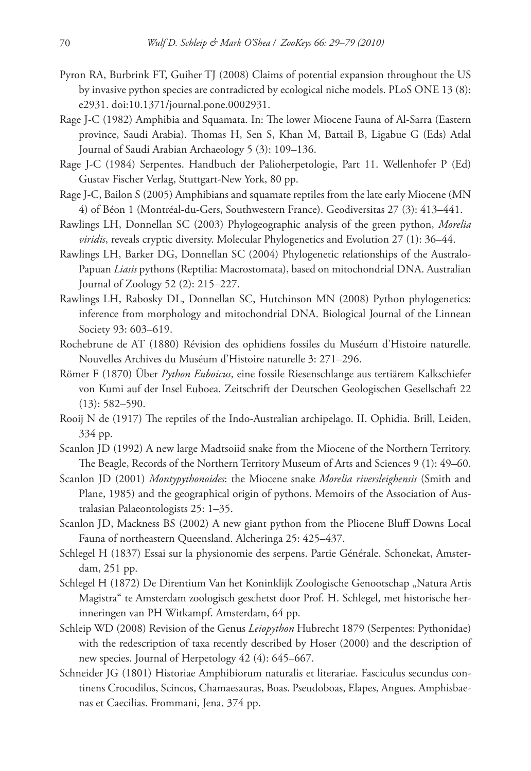- Pyron RA, Burbrink FT, Guiher TJ (2008) Claims of potential expansion throughout the US by invasive python species are contradicted by ecological niche models. PLoS ONE 13 (8): e2931. [doi:10.1371/journal.pone.0002931.](http://dx.doi.org/10.1371/journal.pone.0002931)
- Rage J-C (1982) Amphibia and Squamata. In: The lower Miocene Fauna of Al-Sarra (Eastern province, Saudi Arabia). Thomas H, Sen S, Khan M, Battail B, Ligabue G (Eds) Atlal Journal of Saudi Arabian Archaeology 5 (3): 109–136.
- Rage J-C (1984) Serpentes. Handbuch der Palioherpetologie, Part 11. Wellenhofer P (Ed) Gustav Fischer Verlag, Stuttgart-New York, 80 pp.
- Rage J-C, Bailon S (2005) Amphibians and squamate reptiles from the late early Miocene (MN 4) of Béon 1 (Montréal-du- Gers, Southwestern France). Geodiversitas 27 (3): 413–441.
- Rawlings LH, Donnellan SC (2003) Phylogeographic analysis of the green python, *Morelia viridis*, reveals cryptic diversity. Molecular Phylogenetics and Evolution 27 (1): 36–44.
- Rawlings LH, Barker DG, Donnellan SC (2004) Phylogenetic relationships of the Australo-Papuan *Liasis* pythons (Reptilia: Macrostomata), based on mitochondrial DNA. Australian Journal of Zoology 52 (2): 215–227.
- Rawlings LH, Rabosky DL, Donnellan SC, Hutchinson MN (2008) Python phylogenetics: inference from morphology and mitochondrial DNA. Biological Journal of the Linnean Society 93: 603–619.
- Rochebrune de AT (1880) Révision des ophidiens fossiles du Muséum d'Histoire naturelle. Nouvelles Archives du Muséum d'Histoire naturelle 3: 271–296.
- Römer F (1870) Über *Python Euboicus*, eine fossile Riesenschlange aus tertiärem Kalkschiefer von Kumi auf der Insel Euboea. Zeitschrift der Deutschen Geologischen Gesellschaft 22 (13): 582–590.
- Rooij N de (1917) The reptiles of the Indo-Australian archipelago. II. Ophidia. Brill, Leiden, 334 pp.
- Scanlon JD (1992) A new large Madtsoiid snake from the Miocene of the Northern Territory. The Beagle, Records of the Northern Territory Museum of Arts and Sciences 9 (1): 49–60.
- Scanlon JD (2001) *Montypythonoides*: the Miocene snake *Morelia riversleighensis* (Smith and Plane, 1985) and the geographical origin of pythons. Memoirs of the Association of Australasian Palaeontologists 25: 1–35.
- Scanlon JD, Mackness BS (2002) A new giant python from the Pliocene Bluff Downs Local Fauna of northeastern Queensland. Alcheringa 25: 425–437.
- Schlegel H (1837) Essai sur la physionomie des serpens. Partie Générale. Schonekat, Amsterdam, 251 pp.
- Schlegel H (1872) De Direntium Van het Koninklijk Zoologische Genootschap "Natura Artis Magistra" te Amsterdam zoologisch geschetst door Prof. H. Schlegel, met historische herinneringen van PH Witkampf. Amsterdam, 64 pp.
- Schleip WD (2008) Revision of the Genus *Leiopython* Hubrecht 1879 (Serpentes: Pythonidae) with the redescription of taxa recently described by Hoser (2000) and the description of new species. Journal of Herpetology 42 (4): 645–667.
- Schneider JG (1801) Historiae Amphibiorum naturalis et literariae. Fasciculus secundus continens Crocodilos, Scincos, Chamaesauras, Boas. Pseudoboas, Elapes, Angues. Amphisbaenas et Caecilias. Frommani, Jena, 374 pp.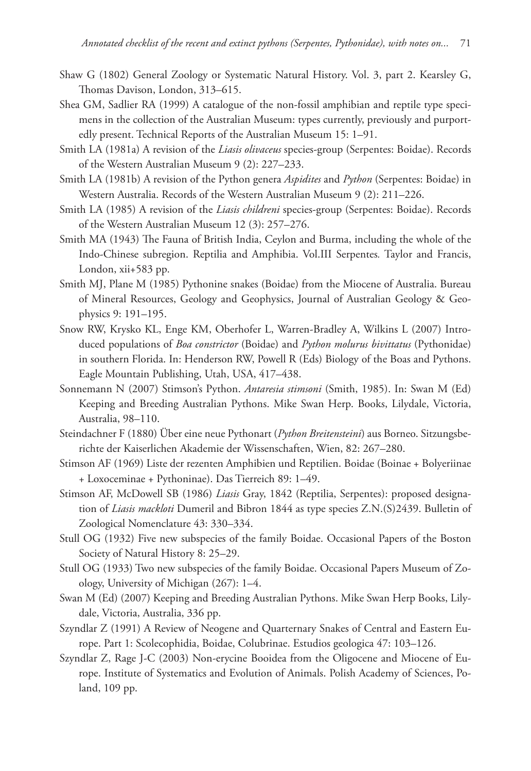- Shaw G (1802) General Zoology or Systematic Natural History. Vol. 3, part 2. Kearsley G, Thomas Davison, London, 313-615.
- Shea GM, Sadlier RA (1999) A catalogue of the non-fossil amphibian and reptile type specimens in the collection of the Australian Museum: types currently, previously and purportedly present. Technical Reports of the Australian Museum 15: 1–91.
- Smith LA (1981a) A revision of the *Liasis olivaceus* species-group (Serpentes: Boidae). Records of the Western Australian Museum 9 (2): 227–233.
- Smith LA (1981b) A revision of the Python genera *Aspidites* and *Python* (Serpentes: Boidae) in Western Australia. Records of the Western Australian Museum 9 (2): 211–226.
- Smith LA (1985) A revision of the *Liasis childreni* species-group (Serpentes: Boidae). Records of the Western Australian Museum 12 (3): 257–276.
- Smith MA (1943) The Fauna of British India, Ceylon and Burma, including the whole of the Indo-Chinese subregion. Reptilia and Amphibia. Vol.III Serpentes*.* Taylor and Francis, London, xii+583 pp.
- Smith MJ, Plane M (1985) Pythonine snakes (Boidae) from the Miocene of Australia. Bureau of Mineral Resources, Geology and Geophysics, Journal of Australian Geology & Geophysics 9: 191–195.
- Snow RW, Krysko KL, Enge KM, Oberhofer L, Warren-Bradley A, Wilkins L (2007) Introduced populations of *Boa constrictor* (Boidae) and *Python molurus bivittatus* (Pythonidae) in southern Florida. In: Henderson RW, Powell R (Eds) Biology of the Boas and Pythons. Eagle Mountain Publishing, Utah, USA, 417–438.
- Sonnemann N (2007) Stimson's Python. *Antaresia stimsoni* (Smith, 1985). In: Swan M (Ed) Keeping and Breeding Australian Pythons. Mike Swan Herp. Books, Lilydale, Victoria, Australia, 98–110.
- Steindachner F (1880) Über eine neue Pythonart (*Python Breitensteini*) aus Borneo. Sitzungsberichte der Kaiserlichen Akademie der Wissenschaften, Wien, 82: 267–280.
- Stimson AF (1969) Liste der rezenten Amphibien und Reptilien. Boidae (Boinae + Bolyeriinae + Loxoceminae + Pythoninae). Das Tierreich 89: 1–49.
- Stimson AF, McDowell SB (1986) *Liasis* Gray, 1842 (Reptilia, Serpentes): proposed designation of *Liasis mackloti* Dumeril and Bibron 1844 as type species Z.N.(S)2439. Bulletin of Zoological Nomenclature 43: 330–334.
- Stull OG (1932) Five new subspecies of the family Boidae. Occasional Papers of the Boston Society of Natural History 8: 25–29.
- Stull OG (1933) Two new subspecies of the family Boidae. Occasional Papers Museum of Zoology, University of Michigan (267): 1–4.
- Swan M (Ed) (2007) Keeping and Breeding Australian Pythons. Mike Swan Herp Books, Lilydale, Victoria, Australia, 336 pp.
- Szyndlar Z (1991) A Review of Neogene and Quarternary Snakes of Central and Eastern Europe. Part 1: Scolecophidia, Boidae, Colubrinae. Estudios geologica 47: 103–126.
- Szyndlar Z, Rage J-C (2003) Non-erycine Booidea from the Oligocene and Miocene of Europe. Institute of Systematics and Evolution of Animals. Polish Academy of Sciences, Poland, 109 pp.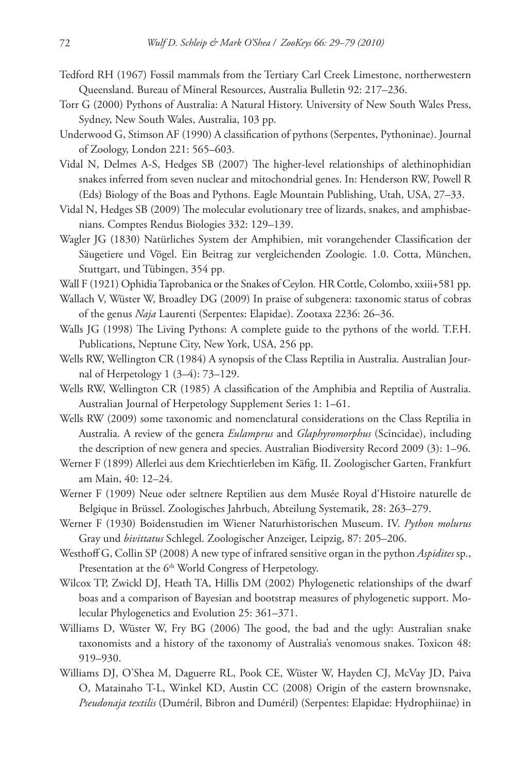- Tedford RH (1967) Fossil mammals from the Tertiary Carl Creek Limestone, northerwestern Queensland. Bureau of Mineral Resources, Australia Bulletin 92: 217–236.
- Torr G (2000) Pythons of Australia: A Natural History. University of New South Wales Press, Sydney, New South Wales, Australia, 103 pp.
- Underwood G, Stimson AF (1990) A classification of pythons (Serpentes, Pythoninae). Journal of Zoology, London 221: 565–603.
- Vidal N, Delmes A-S, Hedges SB (2007) The higher-level relationships of alethinophidian snakes inferred from seven nuclear and mitochondrial genes. In: Henderson RW, Powell R (Eds) Biology of the Boas and Pythons. Eagle Mountain Publishing, Utah, USA, 27–33.
- Vidal N, Hedges SB (2009) The molecular evolutionary tree of lizards, snakes, and amphisbaenians. Comptes Rendus Biologies 332: 129–139.
- Wagler JG (1830) Natürliches System der Amphibien, mit vorangehender Classification der Säugetiere und Vögel. Ein Beitrag zur vergleichenden Zoologie. 1.0. Cotta, München, Stuttgart, und Tübingen, 354 pp.
- Wall F (1921) Ophidia Taprobanica or the Snakes of Ceylon*.* HR Cottle, Colombo, xxiii+581 pp.
- Wallach V, Wüster W, Broadley DG (2009) In praise of subgenera: taxonomic status of cobras of the genus *Naja* Laurenti (Serpentes: Elapidae). Zootaxa 2236: 26–36.
- Walls JG (1998) The Living Pythons: A complete guide to the pythons of the world. T.F.H. Publications, Neptune City, New York, USA, 256 pp.
- Wells RW, Wellington CR (1984) A synopsis of the Class Reptilia in Australia. Australian Journal of Herpetology 1 (3*–*4): 73–129.
- Wells RW, Wellington CR (1985) A classification of the Amphibia and Reptilia of Australia. Australian Journal of Herpetology Supplement Series 1: 1–61.
- Wells RW (2009) some taxonomic and nomenclatural considerations on the Class Reptilia in Australia. A review of the genera *Eulamprus* and *Glaphyromorphus* (Scincidae), including the description of new genera and species. Australian Biodiversity Record 2009 (3): 1–96.
- Werner F (1899) Allerlei aus dem Kriechtierleben im Käfig. II. Zoologischer Garten, Frankfurt am Main, 40: 12–24.
- Werner F (1909) Neue oder seltnere Reptilien aus dem Musée Royal d'Histoire naturelle de Belgique in Brüssel. Zoologisches Jahrbuch, Abteilung Systematik, 28: 263–279.
- Werner F (1930) Boidenstudien im Wiener Naturhistorischen Museum. IV. *Python molurus*  Gray und *bivittatus* Schlegel. Zoologischer Anzeiger, Leipzig, 87: 205–206.
- Westhoff G, Collin SP (2008) A new type of infrared sensitive organ in the python *Aspidites* sp., Presentation at the 6<sup>th</sup> World Congress of Herpetology.
- Wilcox TP, Zwickl DJ, Heath TA, Hillis DM (2002) Phylogenetic relationships of the dwarf boas and a comparison of Bayesian and bootstrap measures of phylogenetic support. Molecular Phylogenetics and Evolution 25: 361–371.
- Williams D, Wüster W, Fry BG (2006) The good, the bad and the ugly: Australian snake taxonomists and a history of the taxonomy of Australia's venomous snakes. Toxicon 48: 919–930.
- Williams DJ, O'Shea M, Daguerre RL, Pook CE, Wüster W, Hayden CJ, McVay JD, Paiva O, Matainaho T-L, Winkel KD, Austin CC (2008) Origin of the eastern brownsnake, *Pseudonaja textilis* (Duméril, Bibron and Duméril ) (Serpentes: Elapidae: Hydrophiinae) in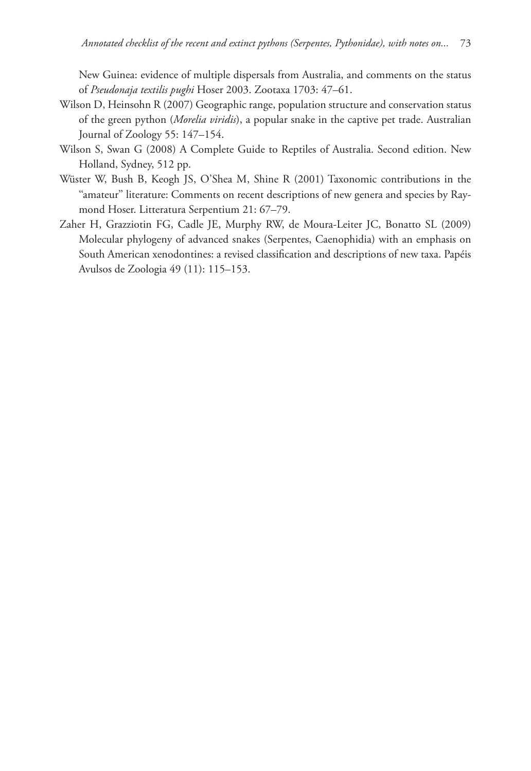New Guinea: evidence of multiple dispersals from Australia, and comments on the status of *Pseudonaja textilis pughi* Hoser 2003. Zootaxa 1703: 47–61.

- Wilson D, Heinsohn R (2007) Geographic range, population structure and conservation status of the green python (*Morelia viridis*), a popular snake in the captive pet trade. Australian Journal of Zoology 55: 147–154 .
- Wilson S, Swan G (2008) A Complete Guide to Reptiles of Australia. Second edition. New Holland, Sydney, 512 pp.
- Wüster W, Bush B, Keogh JS, O'Shea M, Shine R (2001) Taxonomic contributions in the "amateur" literature: Comments on recent descriptions of new genera and species by Raymond Hoser. Litteratura Serpentium 21: 67-79.
- Zaher H, Grazziotin FG, Cadle JE, Murphy RW, de Moura-Leiter JC, Bonatto SL (2009) Molecular phylogeny of advanced snakes (Serpentes, Caenophidia) with an emphasis on South American xenodontines: a revised classification and descriptions of new taxa. Papéis Avulsos de Zoologia 49 (11): 115–153.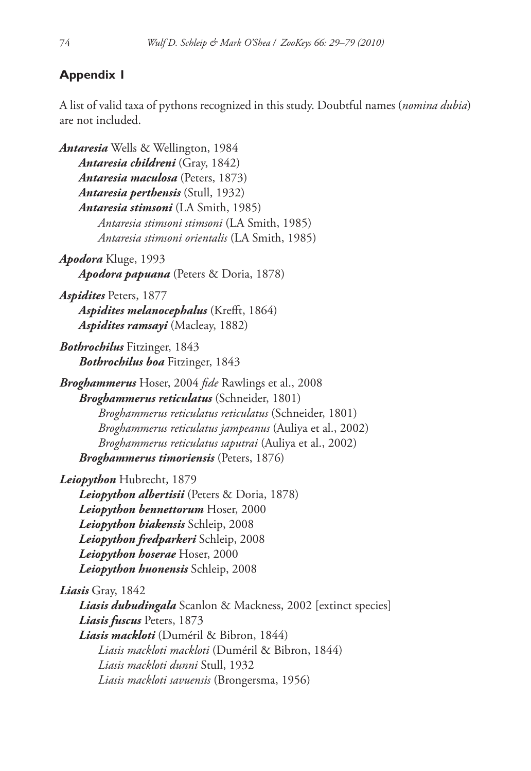# **Appendix 1**

 A list of valid taxa of pythons recognized in this study. Doubtful names (*nomina dubia*) are not included.

 *Antaresia* Wells & Wellington, 1984 *Antaresia childreni* (Gray, 1842) *Antaresia maculosa* (Peters, 1873) *Antaresia perthensis* (Stull, 1932) *Antaresia stimsoni* (LA Smith, 1985) *Antaresia stimsoni stimsoni* (LA Smith, 1985) *Antaresia stimsoni orientalis* (LA Smith, 1985) *Apodora* Kluge, 1993 *Apodora papuana* (Peters & Doria, 1878) *Aspidites* Peters, 1877 *Aspidites melanocephalus* (Krefft, 1864) *Aspidites ramsayi* (Macleay, 1882) *Bothrochilus* Fitzinger, 1843 *Bothrochilus boa* Fitzinger, 1843 *Broghammerus* Hoser, 2004 *fide* Rawlings et al., 2008 *Broghammerus reticulatus* (Schneider, 1801) *Broghammerus reticulatus reticulatus* (Schneider, 1801) *Broghammerus reticulatus jampeanus* (Auliya et al., 2002) *Broghammerus reticulatus saputrai* (Auliya et al., 2002) *Broghammerus timoriensis* (Peters, 1876) *Leiopython* Hubrecht, 1879 *Leiopython albertisii* (Peters & Doria, 1878) *Leiopython bennettorum* Hoser, 2000 *Leiopython biakensis* Schleip, 2008 *Leiopython fredparkeri* Schleip, 2008 *Leiopython hoserae* Hoser, 2000 *Leiopython huonensis* Schleip, 2008 *Liasis* Gray, 1842 *Liasis dubudingala* Scanlon & Mackness, 2002 [extinct species] *Liasis fuscus* Peters, 1873 *Liasis mackloti* (Duméril & Bibron, 1844) *Liasis mackloti mackloti* (Duméril & Bibron, 1844) *Liasis mackloti dunni* Stull, 1932 *Liasis mackloti savuensis* (Brongersma, 1956)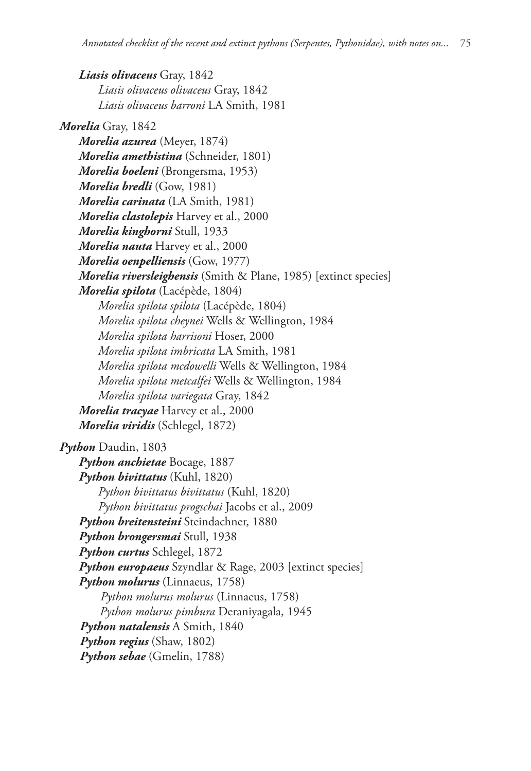*Liasis olivaceus* Gray, 1842 *Liasis olivaceus olivaceus* Gray, 1842 *Liasis olivaceus barroni* LA Smith, 1981 *Morelia* Gray, 1842 *Morelia azurea* (Meyer, 1874) *Morelia amethistina* (Schneider, 1801) *Morelia boeleni* (Brongersma, 1953) *Morelia bredli* (Gow, 1981) *Morelia carinata* (LA Smith, 1981) *Morelia clastolepis* Harvey et al., 2000 *Morelia kinghorni* Stull, 1933 *Morelia nauta* Harvey et al., 2000 *Morelia oenpelliensis* (Gow, 1977) *Morelia riversleighensis* (Smith & Plane, 1985) [extinct species] *Morelia spilota* (Lacépède, 1804) *Morelia spilota spilota* (Lacépède, 1804) *Morelia spilota cheynei* Wells & Wellington, 1984 *Morelia spilota harrisoni* Hoser, 2000 *Morelia spilota imbricata* LA Smith, 1981 *Morelia spilota mcdowelli* Wells & Wellington, 1984 *Morelia spilota metcalfei* Wells & Wellington, 1984 *Morelia spilota variegata* Gray, 1842 *Morelia tracyae* Harvey et al., 2000 *Morelia viridis* (Schlegel, 1872) *Python* Daudin, 1803 *Python anchietae* Bocage, 1887 *Python bivittatus* (Kuhl, 1820) *Python bivittatus bivittatus* (Kuhl, 1820) *Python bivittatus progschai* Jacobs et al., 2009 *Python breitensteini* Steindachner, 1880 *Python brongersmai* Stull, 1938 *Python curtus* Schlegel, 1872 *Python europaeus* Szyndlar & Rage, 2003 [extinct species] *Python molurus* (Linnaeus, 1758) *Python molurus molurus* (Linnaeus, 1758) *Python molurus pimbura* Deraniyagala, 1945 *Python natalensis* A Smith, 1840 *Python regius* (Shaw, 1802) *Python sebae* (Gmelin, 1788)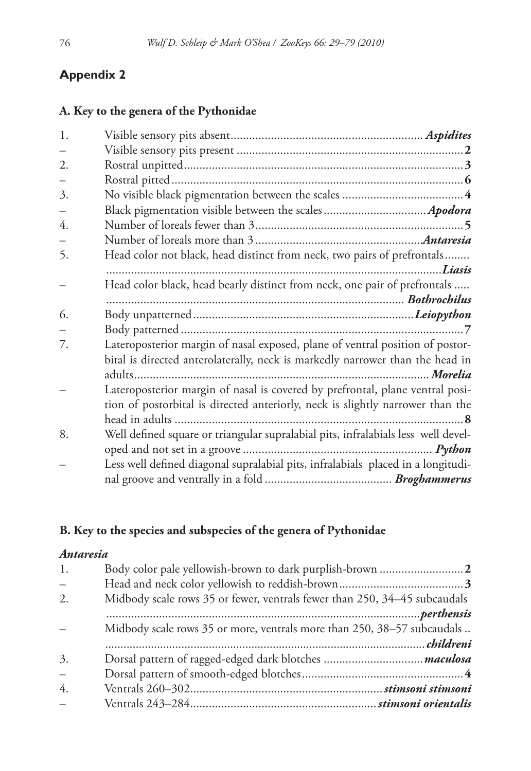# **Appendix 2**

# **A. Key to the genera of the Pythonidae**

| 1. |                                                                                   |
|----|-----------------------------------------------------------------------------------|
|    |                                                                                   |
| 2. |                                                                                   |
|    |                                                                                   |
| 3. |                                                                                   |
|    |                                                                                   |
| 4. |                                                                                   |
|    |                                                                                   |
| 5. | Head color not black, head distinct from neck, two pairs of prefrontals           |
|    |                                                                                   |
|    | Head color black, head bearly distinct from neck, one pair of prefrontals         |
|    |                                                                                   |
| 6. |                                                                                   |
|    |                                                                                   |
| 7. | Lateroposterior margin of nasal exposed, plane of ventral position of postor-     |
|    | bital is directed anterolaterally, neck is markedly narrower than the head in     |
|    |                                                                                   |
|    | Lateroposterior margin of nasal is covered by prefrontal, plane ventral posi-     |
|    | tion of postorbital is directed anteriorly, neck is slightly narrower than the    |
|    |                                                                                   |
| 8. | Well defined square or triangular supralabial pits, infralabials less well devel- |
|    |                                                                                   |
|    | Less well defined diagonal supralabial pits, infralabials placed in a longitudi-  |
|    |                                                                                   |
|    |                                                                                   |

# **B. Key to the species and subspecies of the genera of Pythonidae**

# *Antaresia*

| 1.                       |                                                                           |
|--------------------------|---------------------------------------------------------------------------|
| $\overline{\phantom{m}}$ |                                                                           |
| 2.                       | Midbody scale rows 35 or fewer, ventrals fewer than 250, 34-45 subcaudals |
|                          |                                                                           |
|                          | Midbody scale rows 35 or more, ventrals more than 250, 38-57 subcaudals   |
|                          |                                                                           |
| 3.                       |                                                                           |
| $\frac{1}{2}$            |                                                                           |
| 4.                       |                                                                           |
| $\equiv$                 |                                                                           |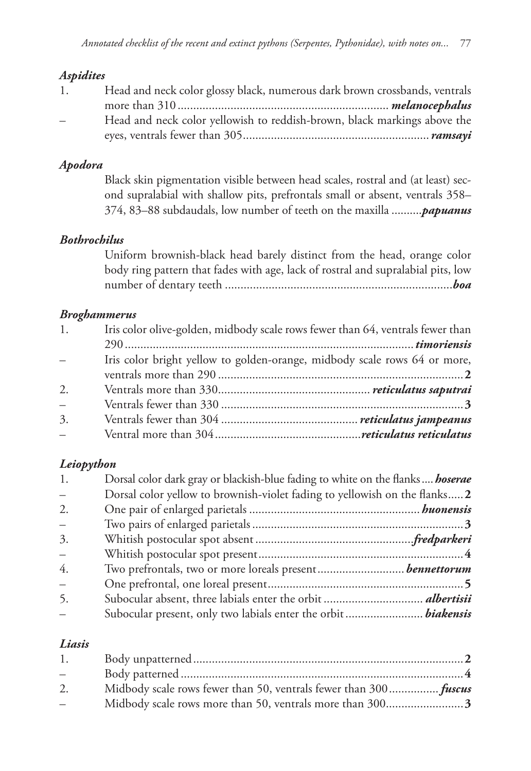# *Aspidites*

| 1.       | Head and neck color glossy black, numerous dark brown crossbands, ventrals |  |
|----------|----------------------------------------------------------------------------|--|
|          |                                                                            |  |
| $\equiv$ | Head and neck color yellowish to reddish-brown, black markings above the   |  |
|          |                                                                            |  |

# *Apodora*

 Black skin pigmentation visible between head scales, rostral and (at least) second supralabial with shallow pits, prefrontals small or absent, ventrals 358– 374, 83–88 subdaudals, low number of teeth on the maxilla ..........*papuanus*

# *Bothrochilus*

 Uniform brownish-black head barely distinct from the head, orange color body ring pattern that fades with age, lack of rostral and supralabial pits, low number of dentary teeth .........................................................................*boa*

# *Broghammerus*

| 1.       | Iris color olive-golden, midbody scale rows fewer than 64, ventrals fewer than |  |
|----------|--------------------------------------------------------------------------------|--|
|          |                                                                                |  |
| $\equiv$ | Iris color bright yellow to golden-orange, midbody scale rows 64 or more,      |  |
|          |                                                                                |  |
| 2.       |                                                                                |  |
| $\equiv$ |                                                                                |  |
| 3.       |                                                                                |  |
| $\equiv$ |                                                                                |  |

# *Leiopython*

| 1.                       | Dorsal color dark gray or blackish-blue fading to white on the flanks <b>hoserae</b> |  |
|--------------------------|--------------------------------------------------------------------------------------|--|
| $\overline{\phantom{m}}$ | Dorsal color yellow to brownish-violet fading to yellowish on the flanks 2           |  |
| 2.                       |                                                                                      |  |
| $\equiv$                 |                                                                                      |  |
| 3.                       |                                                                                      |  |
| $\equiv$                 |                                                                                      |  |
| 4.                       |                                                                                      |  |
| $\equiv$                 |                                                                                      |  |
| 5.                       |                                                                                      |  |
| $\equiv$                 |                                                                                      |  |

# *Liasis*

| 1.  |                                                                  |  |
|-----|------------------------------------------------------------------|--|
| $-$ |                                                                  |  |
| 2.  | Midbody scale rows fewer than 50, ventrals fewer than 300 fuscus |  |
| $-$ |                                                                  |  |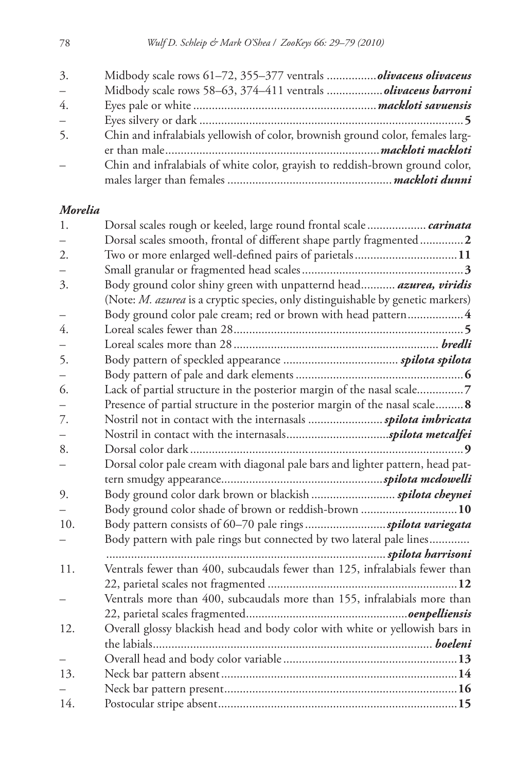| 3.                       | Midbody scale rows 61-72, 355-377 ventrals olivaceus olivaceus                 |  |
|--------------------------|--------------------------------------------------------------------------------|--|
| $\overline{\phantom{0}}$ |                                                                                |  |
| $\overline{4}$ .         |                                                                                |  |
| $\overline{\phantom{0}}$ |                                                                                |  |
| 5.                       | Chin and infralabials yellowish of color, brownish ground color, females larg- |  |
|                          |                                                                                |  |
|                          | Chin and infralabials of white color, grayish to reddish-brown ground color,   |  |
|                          |                                                                                |  |

# *Morelia*

| 1.  | Dorsal scales rough or keeled, large round frontal scale  carinata                     |
|-----|----------------------------------------------------------------------------------------|
|     | Dorsal scales smooth, frontal of different shape partly fragmented2                    |
| 2.  | Two or more enlarged well-defined pairs of parietals11                                 |
|     |                                                                                        |
| 3.  | Body ground color shiny green with unpatternd head azurea, viridis                     |
|     | (Note: <i>M. azurea</i> is a cryptic species, only distinguishable by genetic markers) |
|     | Body ground color pale cream; red or brown with head pattern 4                         |
| 4.  |                                                                                        |
|     |                                                                                        |
| 5.  |                                                                                        |
|     |                                                                                        |
| 6.  | Lack of partial structure in the posterior margin of the nasal scale7                  |
|     | Presence of partial structure in the posterior margin of the nasal scale 8             |
| 7.  |                                                                                        |
|     |                                                                                        |
| 8.  |                                                                                        |
|     | Dorsal color pale cream with diagonal pale bars and lighter pattern, head pat-         |
|     |                                                                                        |
| 9.  |                                                                                        |
|     | Body ground color shade of brown or reddish-brown  10                                  |
| 10. |                                                                                        |
|     | Body pattern with pale rings but connected by two lateral pale lines                   |
|     |                                                                                        |
| 11. | Ventrals fewer than 400, subcaudals fewer than 125, infralabials fewer than            |
|     |                                                                                        |
|     | Ventrals more than 400, subcaudals more than 155, infralabials more than               |
|     |                                                                                        |
| 12. | Overall glossy blackish head and body color with white or yellowish bars in            |
|     |                                                                                        |
|     |                                                                                        |
| 13. |                                                                                        |
|     |                                                                                        |
| 14. |                                                                                        |